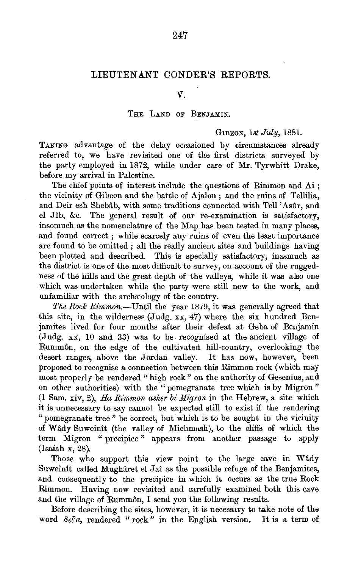# LIEUTEN ANT CONDER'S REPORTS.

### V.

#### THE LAND OF BENJAMIN.

## G!BEON, *1st July,* 1881.

TAKING advantage of the delay occasioned by circumstances already referred to, we have revisited one of the first districts surveyed by the party employed in 1872, while under care of Mr. Tyrwhitt Drake, before my arrival in Palestine.

The chief points of interest include the questions of Rimmon and Ai ; the vicinity of Gibeon and the battle of Ajalon ; and the ruins of Tellilia, and Deir esh Shebab, with some traditions connected with Tell 'Asûr, and el Jib, &c. The general result of our re-examination is satisfactory, insomuch as the nomenclature of the Map has been tested in many places, and found correct; while scarcely any ruins of even the least importance are found to be omitted ; all the really ancient sites and buildings having been plotted and described. This is specially satisfactory, inasmuch as the district is one of the most difficult to survey, on account of the ruggedness of the hills and the great depth of the valleys, while it was also one which was undertaken while the party were still new to the work, and unfamiliar with the archeology of the country.

The Rock Rimmon.-Until the year 1879, it was generally agreed that this site, in the wilderness  $(Judg. xx, 47)$  where the six hundred Benjamites lived for four months after their defeat at Geba of Benjamin (Judg. xx, 10 and 33) was to be recognised at the ancient village of Rumm6n, on the edge of the cultivated hill-country, overlooking the desert ranges, above the Jordan valley. It has now, however, been proposed to recognise a connection between this Rimmon rock (which may most properly be rendered " high rock" on the authority of Gesenius, and on other authorities) with the "pomegranate tree which is by Migron" (1 Sam. xiv, 2), *Ha Rimmon asher bi Migron* in the Hebrew, a site which it is unnecessary to say cannot be expected still to exist if the rendering "pomegranate tree" be correct, but which is to be sought in the vicinity of Wâdy Suweinit (the valley of Michmash), to the cliffs of which the term Migron " precipice " appears from another passage to apply (Isaiah x, 28).

Those who support this view point to the large cave in Wady Suweinit called Mughâret el Jai as the possible refuge of the Benjamites, and consequently to the precipice in which it occurs as the true Rock Rimmon. Having now revisited and carefully examined both this cave and the village of Rummôn, I send you the following results.

Before describing the sites, however, it is necessary to take note of the word *Sel'a,* rendered "rock" in the English version. It is a term of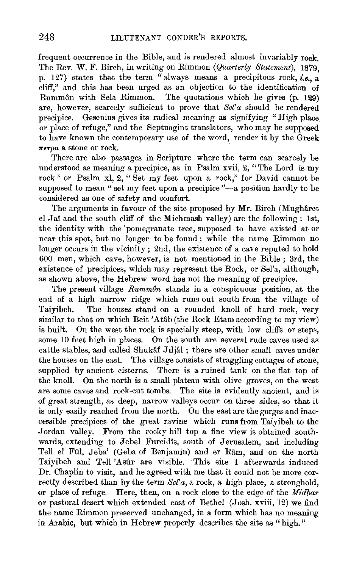frequent occurrence in the Bible, and is rendered almost invariably rock. The Rev. W. F. Birch, in writing on Rimmon *(Quarterly Statement),* 1879, p. 127) states that the term "always means a precipitous rock, *i.e.*, a cliff," and this has been urged as an objection to the identification of Rumm6n with Sela Rimmon. The quotations which he gives (p. 129) are, however, scarcely sufficient to prove that *Sel'a* should be rendered precipice. Gesenius gives its radical meaning as signifying "High place or place of refuge," and the Septuagint translators, who may be supposed to have known the contemporary use of the word, render it by the Greek  $\pi \epsilon \tau$ oa a stone or rock.

There are also passages in Scripture where the term can scarcely be understood as meaning a precipice, as in Psalm xvii, 2, "The Lord is my rock" or Psalm xl, 2, "Set my feet upon a rock," for David cannot be supposed to mean "set my feet upon a precipice" $-a$  position hardly to be considered as one of safety and comfort.

The arguments in favour of the site proposed by Mr. Birch (Mugharet el Jai and the south cliff of the Michmash valley) are the following: 1st, the identity with the pomegranate tree, supposed to have existed at or near this spot, but no longer to be found ; while the name Rimmon no longer occurs in the vicinity; 2nd, the existence of a cave reputed to hold  $600$  men, which cave, however, is not mentioned in the Bible ; 3rd, the existence of precipices, which may represent the Rock, or Sel'a, although, as shown above, the Hebrew word has not the meaning of precipice.

The present village *Rummon* stands in a conspicuous position, at the end of a high narrow ridge which runs out south from the village of Taiyibeh. The houses stand on a rounded knoll of hard rock, very similar to that on which Beit 'Atâb (the Rock Etam according to my view) is built. On the west the rock is specially steep, with low cliffs or steps, some 10 feet high in places. On the south are several rude caves used as cattle stables, and called Shukaf Jiljal ; there are other small caves under the houses on the east. The village consists of straggling cottages of stone, supplied by ancient cisterns. There is a ruined tank on the flat top of the knoll. On the north is a small plateau with olive groves, on the west are some caves and rock-cut tombs. The site is evidently ancient, and is of great strength, as deep, narrow valleys occur on three sides, so that it is only easily reached from the north. On the east are the gorges and inaccessible precipices of the great ravine which runs from  $\overline{T}$ aivibeh to the Jordan valley. From the rocky hill top a fine view is obtained southwards, extending to Jebel Fureidis, south of Jerusalem, and including Tell el Fûl, Jeba' (Geba of Benjamin) and er Râm, and on the north Taiyibeh and Tell 'Asûr are visible. This site I afterwards induced Dr. Chaplin to visit, and he agreed with me that it could not be more correctly described than by the term  $\text{Set}^a$ , a rock, a high place, a stronghold, or place of refuge. Here, then, on a rock close to the edge of the *Jfidbar*  or pastoral desert which extended east of Bethel (Josh. xviii, 12) we find the name Rimmon preserved unchanged, in a form which has no meaning in Arabic, but which in Hebrew properly describes the site as "high."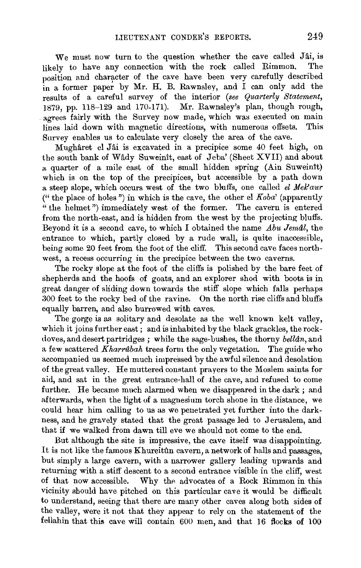We must now turn to the question whether the cave called Jai, is likely to have any connection with the rock called Rimmon. The position and character of the cave have been very carefully described in a former paper by Mr. H. B. Rawnsley, and I can only add the results of a careful survey of the interior *(see Quarterly Statement,*  1879, pp. 118-129 and 170-171). Mr. Rawnsley's plan, though rough, agrees fairly with the Survey now made, which was executed on main lines laid down with magnetic directions, with numerous offsets. This Survey enables us to calculate very closely the area of the cave.

Mughâret el Jâi is excavated in a precipice some 40 feet high, on the south bank of Wady Suweinit, east of Jeba' (Sheet XVII) and about a quarter of a mile east of the small hidden spring (Ain Suwein1t) which is on the top of the precipices, but accessible by a path down a steep slope, which occurs west of the two bluffs, one called *el Melaur* ("the place of holes") in which is the cave, the other el *Koba'* (apparently " the helmet") immediately west of the former. The cavern is entered from the north-east, and is hidden from the west by the projecting bluffs. Beyond it is a second cave, to which I obtained the name *Abu Jemal,* the entrance to which, partly closed by a rude wall, is quite inaccessible, being some 20 feet from the foot of the diff. This second cave faces northwest, a recess occurring in the precipice between the two caverns.

The rocky slope at the foot of the cliffs is polished by the bare feet of shepherds and the hoofs of goats, and an explorer shod with boots is in great danger of sliding down towards the stiff slope which falls perhaps 300 feet to the rocky bed of the ravine. On the north rise cliffs and bluffs equally barren, and also burrowed with eaves.

The gorge is as solitary and desolate as the well known kelt valley, which it joins further east; and is inhabited by the black grackles, the rockdoves, and desert partridges ; while the sage-bushes, the thorny *bellan,* and a few scattered *Kharrabah* trees form the only vegetation. The guide who accompanied us seemed much impressed by the awful silence and desolation of the great valley. He muttered constant prayers to the Moslem saints for aid, and sat in the great entrance-hall of the cave, and refused to come further. He became much alarmed when we disappeared in the dark ; and afterwards, when the light of a magnesium torch shone in the distance, we could hear him calling to us as we penetrated yet further into the darkness, and he gravely stated that the great passage led to Jerusalem, and that if we walked from dawn till eve we should not eome to the end.

But although the site is impressive, the cave itself was disappointing. It is not like the famous Khureitun cavern, a network of halls and passages. but simply a large cavern, with a narrower gallery leading upwards and returning with a stiff descent to a second entrance visible in the cliff, west of that now accessible. Why the advocates of a Rock Rimmon in this vicinity should have pitched on this particular cave it would be difficult to understand, seeing that there are many other caves along both sides of the valley, were it not that they appear to rely on the statement of the fellahin that this cave will contain 600 men, and that 16 flocks of 100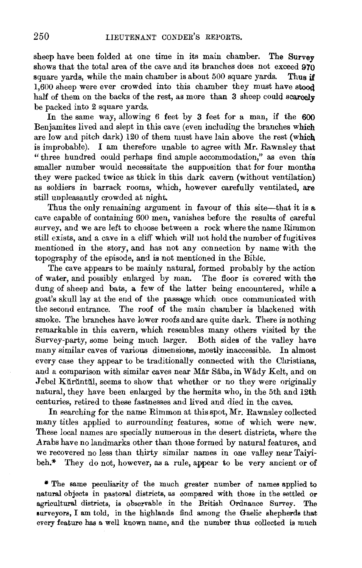sheep have been folded at one time in its main chamber. The Survey shows that the total area of the cave and its branches does not exceed 970 square yards, while the main chamber is about 500 square yards. Thus if  $1.600$  sheep were ever crowded into this chamber they must have stood half of them on the backs of the rest, as more than  $3$  sheep could scarcely be packed into 2 square yards.

In the same way, allowing 6 feet by 3 feet for a man, if the 600 Benjamites lived and slept in this cave (even including the branches which are low and pitch dark) 120 of them must have lain above the rest (whioh is improbable). I am therefore unable to agree with Mr. Rawnsley that "three hundred could perhaps find ample accommodation," as even this smaller number would necessitate the supposition that for four months they were packed twice as thick in this dark cavern (without ventilation) as soldiers in barrack rooms, which, however carefully ventilated, are still unpleasantly crowded at night.

Thus the only remaining argument in favour of this site-that it is a cave capable of containing 600 men, vanishes before the results of careful survey, and we are left to choose between a rock where the name Rimmon still exists, and a cave in a cliff which will not hold the number of fugitives mentioned in the story, and has not any connection by name with the topography of the episode, and is not mentioned in the Bible.

The cave appears to be mainly natural, formed probably by the action of water, and possibly enlarged by man. The floor is covered with the dung of sheep and bats, a few of the latter being encountered, while a goat's skull lay at the end of the passage which once communicated with the second entrance. The roof of the main chamber is blackened with smoke. The branches have lower roofs and are quite dark. There is nothing remarkable in this cavern, which resembles many others visited by the Survey-party, some being much larger. Both sides of the valley have many similar caves of various dimensions, mostly inaccessible. In almost every case they appear to be traditionally connected with the Christians, and a comparison with similar caves near Mar Saba, in Wady Kelt, and on Jebel Kürüntül, seems to show that whether or no they were originally natural, they have been enlarged by the hermits who, in the 5th and 12th centuries, retired to these fastnesses and lived and died in the caves.

In searching for the name Rimmon at this spot, Mr. Rawnsley collected many titles applied to surrounding features, some of which were new. These local names are specially numerous in the desert districts, where the Arabs have no landmarks other than those formed by natural features, and we recovered no less than thirty similar names in one valley near Taiyibeh.\* They do not, however, as a rule, appear to be very ancient or of

• The same peculiarity of the much greater number of names applied to natural objects in pastoral districts, as compared with those in the settled or agricultural districts, is observable in the British Ordnance Survey. The surveyors, I am told, in the highlands find among the Gaelic shepherds that every feature has a well known name, and the number thus collected is much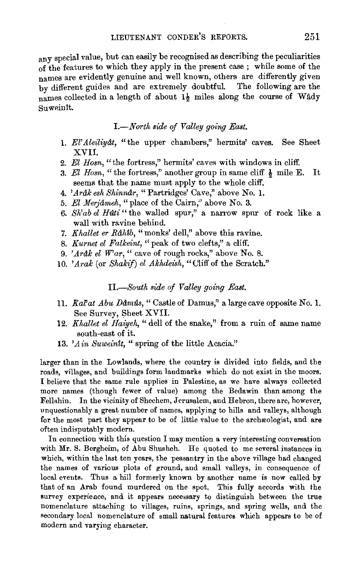any special value, but can easily be recognised as describing the peculiarities of the features to which they apply in the present case ; while some of the names are evidently genuine and well known, others are differently given by different guides and are extremely doubtful. The following are the names collected in a length of about  $l_{\frac{1}{2}}$  miles along the course of Wady Suweinit.

## **I.**-*North side of Valley going East.*

- 1. *El' Aleiliyat,* "the upper chambers," hermits' caves. See Sheet XVII.
- 2. *El Hosn,* "the fortress," hermits' caves with windows in cliff.
- 3. *El Hosn*, "the fortress," another group in same cliff  $\frac{1}{2}$  mile E. It seems that the name must apply to the whole cliff.
- 4. *'.Arak esh Shinnar,* "Partridges' Cave," above No. l.
- 5. *El Merjameh*, "place of the Cairn," above No. 3.
- 6. *Sh'ab el Huti* "the walled spur," a narrow spur of rock like a wall with ravine behind.
- 7. *Khallet er Rahtb,* "monks' dell," above this ravine.
- 8. *Kurnet el Falkeint*, " peak of two clefts," a cliff.
- 9. *'Arak el W'ar,"* cave of rough rocks," above No. 8.
- 10. *'Arak* (or *Shakif) el Akhdeish,* "Cliff of the Scratch."

*II.-South side of V alley going East.* 

- 11. *Kal'at Abu Dâmûs*, "Castle of Damus," a large cave opposite No. 1. See Survey, Sheet XVII.
- 12. *Khallet el Haiyeh,* " dell of the snake," from a ruin of same name south-east of it.
- 13. *'A in Suweintt,* " spring of the little Acacia."

larger than in the Lowlands, where the country is divided into fields, and the roads, villages, and buildings form landmarks which do not exist in the moors. I believe that the same rule applies in Palestine, as we have always collected more names (though fewer of value) among the Bedawin than among the Fellahin. In the vicinity of Shechem, Jerusalem, and Hebron, there are, however, 11nquestionably a great number of names, applying to hills and valleys, although for the most part they appear to be of little value to the archeologist, and are often indisputably modern.

In connection with this question I may mention a very interesting conversation with Mr. S. Bergheim, of Abu Shusheh. He quoted to me several instances in which, within the last ten years, the peasantry in the above village had changed the names of various plots of ground, and small valleys, in consequence of local events. Thus a hill formerly known by another name is now called by that of an Arab found murdered on the spot. This fully accords with the survey experience, and it appears necessary to distinguish between the true nomenclature attaching to villages, ruins, springs, and spring wells, and the secondary local nomenclature of small natural features which appears to be of modern and varying character.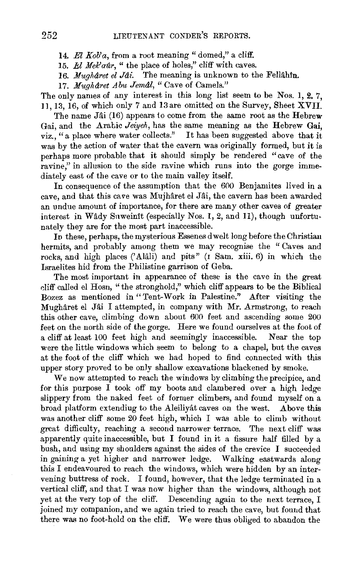14. *El Kol'a*, from a root meaning " domed," a cliff.

15. *Ll Melcaar*, " the place of holes," cliff with caves.

16. *Mugharet el Jai*. The meaning is unknown to the Fellahin.

17. *Mughdret Abu Jemal*, "Cave of Camels."

The only names of any interest in this long list seem to be Nos. 1, 2, 7. *1* 1, 13, 16, of which only 7 and 13 are omitted on the Survey, Sheet XVII.

The name J $\hat{a}$ i (16) appears to come from the same root as the Hebrew Gai, and the Arabic *Jeiyeh,* has the same meaning as the Hebrew Gai, viz.," a place where water collects." It has been suggested above that it was by the action of water that the cavern was originally formed, but it is perhaps more probable that it should simply be rendered "cave of the ravine," in allusion to the side ravine which runs into the gorge immediately east of the cave or to the main valley itself.

In consequence of the assumption that the 600 Benjamites lived in a cave, and that this cave was Mujhâret el Jâi, the cavern has been awarded an undue amount of importance, for there are many other caves of greater interest in Wâdy Suweinit (especially Nos. I, 2, and II), though unfortunately they are for the most part inaccessible.

In these, perhaps, the mysterious Essenes dwelt long before the Christian hermits, and probably among them we may recognise the "Caves and rocks, and high places  $(A1a)$  and pits" (I Sam. xiii. 6) in which the Israelites hid from the Philistine garrison of Geba.

The most important in appearance of these is the cave in the great diff called el Hosn, "the stronghold," which cliff appears to be the Biblical Bozez as mentioned in "Tent-Work in Palestine." After visiting the Mughâret el Jâi I attempted, in company with Mr. Armstrong, to reach this other cave, climbing down about 600 feet and ascending some 200 feet on the north side of the gorge. Here we found ourselves at the foot of a cliff at least 100 feet high and seemingly inaccessible. Near the top were the little windows which seem to belong to a chapel, but the caves at the foot of the cliff which we had hoped to find connected with this upper story proved to be only shallow excavations blackened by smoke.

We now attempted to reach the windows by climbing the precipice, and for this purpose I took off my boots and clambered over a high ledge slippery from the naked feet of former climbers, and found myself on a broad platform extending to the Aleiliyat caves on the west. Above this was another cliff some 20 feet high, which I was able to climb without great difficulty, reaching a second narrower terrace. The next cliff was apparently quite inaccessible, but I found in it a fissure half filled by a bush, and using my shoulders against the sides of the crevice I succeeded in gaining a yet higher and narrower ledge. Walking eastwards along this I endeavoured to reach the windows, which were hidden by an intervening buttress of rock. I found, however, that the ledge terminated in a vertical cliff, and that I was now higher than the windows, although not yet at the very top of the cliff. Descending again to the next terrace, I joined my companion, and we again tried to reach the cave, but found that there was no foot-hold on the cliff. We were thus obliged to abandon the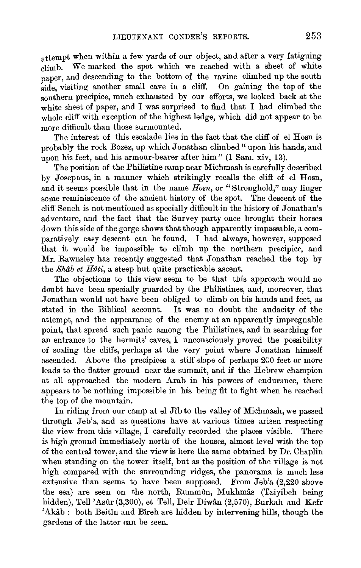attempt when within a few yards of our object, and after a very fatiguing climb. We marked the spot which we reached with a sheet of white paper, and descending to the bottom of the ravine climbed up the south  $side$ , visiting another small cave in a cliff. On gaining the top of the southern precipice, much exhausted by our efforts, we looked back at the white sheet of paper, and I was surprised to find that I had climbed the whole cliff with exception of the highest ledge, which did not appear to be more difficult than those surmounted.

The interest of this escalade lies in the fact that the cliff of el Hosn is probably the rock Bozez, up which Jonathan climbed " upon his hands, and upon his feet, and his armour-bearer after him" (1 Sam. xiv, 13).

The position of the Philistine camp near Michmash is carefully described by Josephus, in a manner which strikingly recalls the cliff of el Hosn, and it seems possible that in the name *Hosn*, or "Stronghold," may linger some reminiscence of the ancient history of the spot. The descent of the cliff: Seneh is not mentioned as specially difficult in the history of Jonathan's adventure, and the fact that the Survey party once brought their horses down this side of the gorge shows that though apparently impassable, a comparatively easy descent can be found. I had always, however, supposed that it would be impossible to climb up the northern precipice, and Mr. Rawnsley has recently suggested that Jonathan reached the top by the *Shab et Hati*, a steep but quite practicable ascent.

The objections to this view seem to be that this approach would no doubt have been specially guarded by the Philistines, and, moreover, that Jonathan would not have been obliged to climb on his hands and feet, as stated in the Biblical account. It was no doubt the audacity of the attempt, and the appearance of the enemy at an apparently impregnable point, that spread such panic among the Philistines, and in searching for an entrance to the hermits' caves,  $\overrightarrow{I}$  unconsciously proved the possibility of scaling the cliffs, perhaps at the very point where Jonathan himself ascended. Above the precipices a stiff slope of perhaps 2CO feet or more leads to the flatter ground near the summit, and if the Hebrew champion at all approached the modern Arab in his powers of endurance, there appears to be nothing impossible in his being fit to fight when he reached the top of the mountain.

In riding from our camp at el Jib to the valley of Michmash, we passed through Jeb'a, and as questions have at various times arisen respecting the view from this village, I carefully recorded the places visible. There is high ground immediately north of the houses, almost level with the top of the central tower, and the view is here the same obtained by Dr. Chaplin when standing on the tower itself, but as the position of the village is not high compared with the surrounding ridges, the panorama is much less extensive than seems to have been supposed. From Jeb'a (2,220 above the sea) are seen on the north, Rummon, Mukhmas (Taiyibeh being hidden), Tell 'Asûr (3,300), et Tell, Deir Diwân (2,570), Burkah and Kefr 'Akâb: both Beitîn and Bîreh are hidden by intervening hills, though the gardens of the latter can be seen.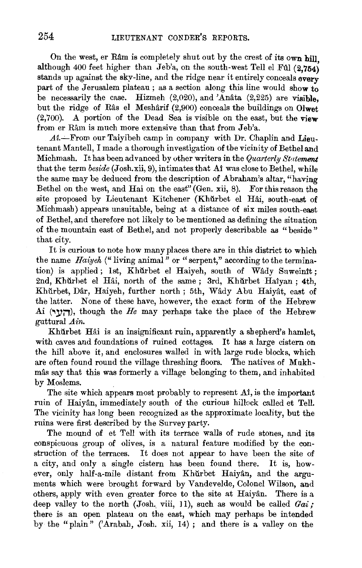On the west, er Râm is completely shut out by the crest of its  $\alpha_{\text{Wn}}$  hill although 400 feet higher than Jeb'a, on the south-west Tell el Fûl  $(2.754)$ stands up against the sky-line, and the ridge near it entirely conceals every part of the Jerusalem plateau; as a section along this line would show to be necessarily the case. Hizmeh  $(2,020)$ , and 'Anâta  $(2,225)$  are visible. but the ridge of Râs el Meshârif (2,900) conceals the buildings on Olwet  $(2,700)$ . A portion of the Dead Sea is visible on the east, but the view from er Râm is much more extensive than that from Jeb'a.

 $A\hat{i}$  – From our Taiyibeh camp in company with Dr. Chaplin and Lieutenant Mantell, I made a thorough investigation of the vicinity of Bethel and Michmash. It has been advanced by other writers in the *Quarterly Statement*  that the term *beside* (Josh.xii, 9), intimates that Ai was close to Bethel, while the same may be deduced from the description of Abraham's altar, "having Bethel on the west, and Hai on the east'' (Gen. xii, 8). For this reason the site proposed by Lieutenant Kitchener (Khurbet el Hâi, south-east of Michmash) appears unsuitable, being at a distance of six miles south-east of Bethel, and therefore not likely to be mentioned as defining the situation of the mountain east of Bethel, and not properly describable as "beside" that city.

It is curious to note how many places there are in this district to which the name Haiyeh ("living animal" or "serpent," according to the termination) is applied; 1st, Khurbet el Haiyeh, south of Wady Suweinit; 2nd, Khurbet el Hâi, north of the same; 3rd, Khurbet Haîyan; 4th, Khurbet, Dâr, Haiyeh, further north; 5th, Wâdy Abu Haiyât, east of the latter. None of these have, however, the exact form of the Hebrew Ai (רְ $y$ ר), though the *He* may perhaps take the place of the Hebrew guttural *A in.* 

Khürbet Hâi is an insignificant ruin, apparently a shepherd's hamlet, with caves and foundations of ruined cottages. It has a large cistern on the hill above it, and enclosures walled in with large rude blocks, which are often found round the village threshing floors. The natives of Mukhmâs say that this was formerly a village belonging to them, and inhabited by Moslems.

The site which appears most probably to represent A<sup>f</sup>, is the important ruin of Haiyan, immediately south of the curious hillock called et Tell. The vicinity has long been recognized as the approximate locality, but the ruins were first described by the Survey party.

The mound of et Tell with its terrace walls of rude stones, and its conspicuous group of olives, is a natural feature modified by the construction of the terraces. It does not appear to have been the site of a city, and only a single cistern has been found there. It is, however, only half-a-mile distant from Khurbet Haiyan, and the arguments which were brought forward by Vandevelde, Colonel Wilson, and others, apply with even greater force to the site at Haiyan. There is a deep valley to the north (Josh. viii, 11), such as would be called  $Gai$ ; there is an open plateau on the east, which may perhaps be intended by the "plain" ('Arabab, Josh. xii, 14) ; and there is a valley on the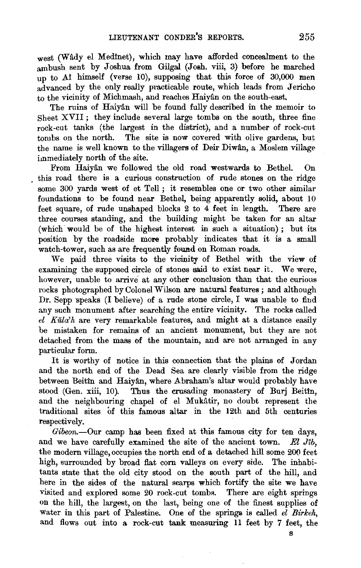west (Wady el Medinet), which may have afforded concealment to the ambush sent by Joshua from Gilgal (Josh. viii, 3) before he marched up to A<sup>t</sup> himself (verse 10), supposing that this force of 30,000 men advanced by the only really practicable route, which leads from Jericho to the vicinity of Michmash, and reaches Haiyan on the south-east.

The ruins of Haiyan will be found fully described in the memoir to Sheet XVII ; they include several large tombs on the south, three fine rock-cut tanks (the largest in the district), and a number of rock-cut tombs on the north. The site is now covered with olive gardens, but the name is well known to the villagers of Deir Diwân, a Moslem village immediately north of the site.

From Haiyan we followed the old road westwards to Bethel. On this road there is a curious construction of rude stones on the ridge some 300 yards west of et Tell ; it resembles one or two other similar foundations to be found near Bethel, being apparently solid, about 10 feet square, of rude unshaped blocks 2 to 4 feet in length. There are feet square, of rude unshaped blocks  $2$  to  $4$  feet in length. three courses standing, and the building might be taken for an altar (which would be of the highest interest in such a situation); but its position by the roadside more probably indicates that it is a small watch-tower, such as are frequently found on Roman roads.

We paid three visits to the vicinity of Bethel with the view of examining the supposed circle of stones said to exist near it. We were, however, unable to arrive at any other conclusion than that the curious rocks photographed by Colonel Wilson are natural features ; and although Dr. Sepp speaks (I believe) of a rude stone circle, I was unable to find any such monument after searching the entire vicinity. The rocks called  $el$   $K\tilde{u}l\alpha'h$  are very remarkable features, and might at a distance easily be mistaken for remains of an ancient monument, but they are not detached from the mass of the mountain, and are not arranged in any particular form.

It is worthy of notice in this connection that the plains of Jordan and the north end of the Dead Sea are clearly visible from the ridge between Beitin and Haiyân, where Abraham's altar would probably have stood (Gen. xiii, 10). Thus the crusading monastery of Burj Beittn, and the neighbouring chapel of el Mukâtir, no doubt represent the traditional sites of this famous altar in the 12th and 5th centuries respectively.

*Gibeon.-Our* camp has been fixed at this famous city for ten days, and we have carefully examined the site of the ancient town. El  $Jib$ , the modern village, occupies the north end of a detached hill some 200 feet high, surrounded by broad flat corn valleys on every side. The inhabitants state that the old city stood on the south part of the hill, and here in the sides of the natural scarps which fortify the site we have visited and explored some 20 rock-cut tombs. There are eight springs on the hill, the largest, on the last, being one of the finest supplies of water in this part of Palestine. One of the springs is called *el Birkeh*, and flows out into a rock-cut tank measuring 11 feet by 7 feet, the

s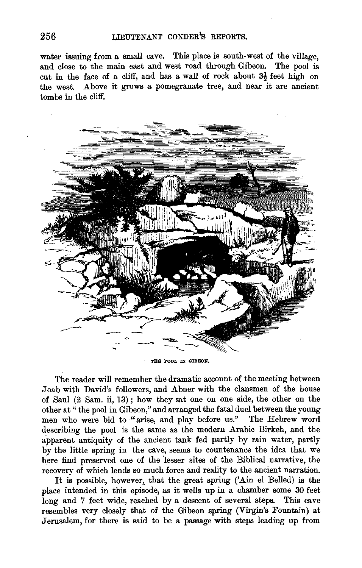water issuing from a small cave. This place is south-west of the village, and close to the main east and west road through Gibeon. The pool is cut in the face of a cliff, and has a wall of rock about 3t feet high on the west. Above it grows a pomegranate tree, and near it are ancient tombs in the cliff.



**THE POOL IN GIBBON.** 

The reader will remember the dramatic account of the meeting between Joab with David's followers, and Abner with the clansmen of the house of Saul (2 Sam. ii, 13); how they sat one on one side, the other on the other at " the pool in Gibeon," and arranged the fatal duel between the young men who were bid to "arise, and play before us." The Hebrew word describing the pool is the same as the modern Arabic Birkeh, and the apparent antiquity of the ancient tank fed partly by rain water, partly liy the little spring in the cave, seems to countenance the idea that we here find preserved one of the lesser sites of the Biblical narrative, the recovery of which lends so much force and reality to the ancient narration.

It is possible, however, that the great spring ('Ain el Belied) is the place intended in this episode, as it wells up in a chamber some 30 feet long and 7 feet wide, reached by a descent of several steps. This cave resembles very closely that of the Gibeon spring (Virgin's Fountain) at Jerusalem, for there is said to be a passage with steps leading up from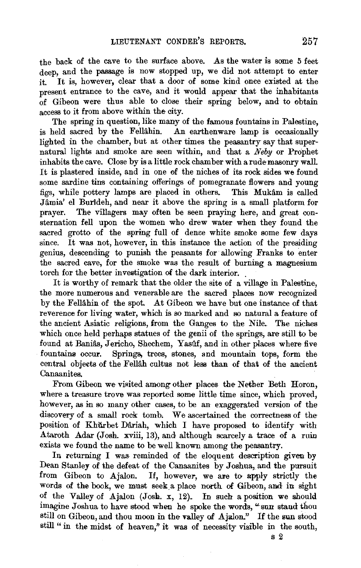the back of the cave to the surface above. As the water is some 5 feet deep, and the passage is now stopped up, we did not attempt to enter<br>it. It is, however, clear that a door of some kind once existed at the It is, however, clear that a door of some kind once existed at the present entrance to the cave, and it would appear that the inhabitants of Gibeon were thus able to close their spring below, and to obtain access to it from above within the city.

The spring in question, like many of the famous fountains in Palestine, is held sacred by the Fellâhin. An earthenware lamp is occasionally lighted in the chamber, but at other times the peasantry say that supernatural lights and smoke are seen within, and that a *Neby* or Prophet inhabits the cave. Close by is a little rock chamber with a rude masonry wall. It is plastered inside, and in one of the niches of its rock sides we found some sardine tins containing offerings of pomegranate flowers and young figs, while pottery lamps are placed in others. This Mukam is called Jamia' el Burideh, and near it above the spring is a small platform for prayer. The villagers may often be seen praying here, and great consternation fell upon the women who drew water when they found the sacred grotto of the spring full of dense white smoke some few days since. It was not, however, in this instance the action of the presiding genius, descending to punish the peasants for allowing Franks to enter the sacred cave, for the smoke was the result of burning a magnesium torch for the better investigation of the dark interior.

It is worthy of remark that the older the site of a village in Palestine, the more numerous and venerable are the sacred places now recognized by the Fellâhin of the spot. At Gibeon we have but one instance of that reverence for living water, which is so marked and so natural a feature of the ancient Asiatic religions, from the Ganges to the Nile.. The niches which once held perhaps statues of the genii of the springs, are still to be found at Banias, Jericho, Shechem, Yasûf, and in other places where five fountains occur. Springs, trees, stones, and mountain tops, form the central objects of the Fellâh cultus not less than of that of the ancient Canaanites.

From Gibeon we visited among other places the Nether Beth Horon, where a treasure trove was reported some little time since, which proved, however, as in so many other cases, to be an exaggerated version of the discovery of a small rock tomb. We ascertained the correctness of the position of Khurbet Dariah, which I have proposed to identify with Ataroth Adar (Josh. xviii, 13), and although scarcely a trace of a ruiu exists we found the name to be well known among the peasantry.

In returning I was reminded of the eloquent description given by Dean Stanley of the defeat of the Canaanites by Joshua, and the pursuit from Gibeon to Ajalon. If, however, we are to apply strictly the words of the book, we must seek a place north of Gibeon, and in sight of the Valley of Ajalon (Josh. x, 12). In such a position we should imagine Joshua to have stood when he spoke the words, "sun stand thou still on Gibeon, and thou moon in the valley of  $A$ jalon." If the sun stood still " in the midst of heaven," it was of necessity visible in the south,

s 2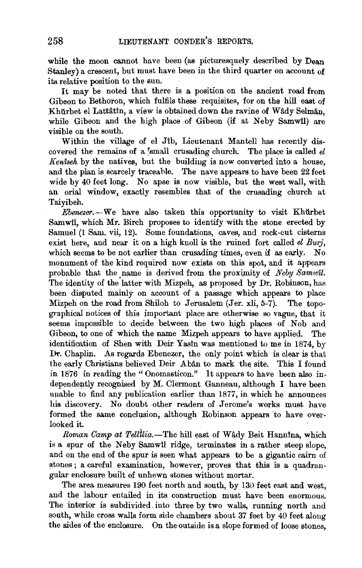while the moon cannot have been (as picturesquely described by Dean Stanley) a crescent, but must have been in the third quarter on account of its relative position to the sun.

It may be noted that there is a position on the ancient road from Gibeon to Bethoron, which fulfils these requisites, for on the hill east of Khurbet el Lattâtîn, a view is obtained down the ravine of Wâdy Selmân, while Gibeon and the high place of Gibeon (if at Neby Samwtl) are visible on the south.

Within the village of el Jîb, Lieutenant Mantell has recently discovered the remains of a small crusading church. The place is called *el Ken!Jseh* by the natives, but the building is now converted into a house, and the plan is scarcely traceable. The nave appears to have been 22 feet wide by 40 feet long. No apse is now visible, but the west wall, with an orial window, exactly resembles that of the crusading church at Taivibeh.

*Ebenezer.*-We have also taken this opportunity to visit Khurbet Samwil, which Mr. Birch proposes to identify with the stone erected by Samuel (1 Sam. vii, 12). Some foundations, caves, and. rock-cut cisterns exist here, and near it on a high knoll is the ruined fort called *el Burj,*  which seems to be not earlier than crusading times, even if as early. No monument of the kind required now exists on this spot, and it appears probable that the name is derived from the proximity of *Neby Samwil*. The identity of the latter with Mizpeh, as proposed by Dr. Robinson, has been disputed mainly on account of a passage which appears to place Mizpeh on the road from Shiloh to Jerusalem (Jer. xli, 5-7). The topographical notices of this important place are otherwise so vague, that it seems impossible to decide between the two high places of Nob and Gibeon, to one of which the name Mizpeh appears to have applied. The identification of Shen with Deir Yasin was mentioned to me in 1874, by Dr. Chaplin. As regards Ebenezer, the only point which is clear is that the early Christians believed Deir Abân to mark the site. This I found in 1876 in reading the "Onomasticon." It appears to have been also independently recognised by M. Clermont Ganneau, although  $I$  have been unable to find any publication earlier than 1877, in which he announces his discovery. No doubt other readers of Jerome's works must have formed the same conclusion, although Robinson appears 'to have overlooked it.

*Roman Camp at TellUia.-The* hill east of Wady Beit Hannina, which is a spur of the Neby Samwil ridge, terminates in a rather steep slope, and on the end of the spur is seen what appears to be a gigantic cairn of stones ; a careful examination, however, proves that this is a quadrangular enclosure built of unhewn stones without mortar.

The area measures 190 feet north and south, by 130 feet east and west, and the labour entailed in its construction must have been enormous. The interior is subdivided. into three by two walls, running north and south, while cross walls form side chambers about 37 feet by 40 feet along the sides of the enclosure. On the outside is a slope formed of loose stones,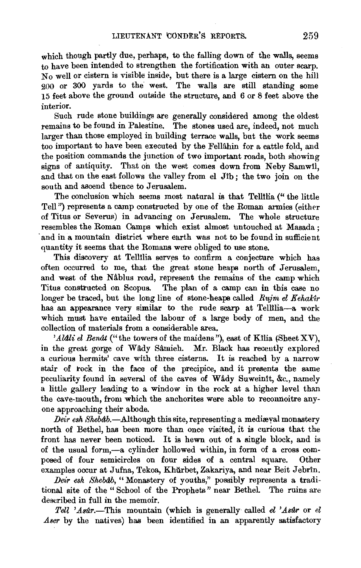which though partly due, perhaps, to the falling down of the walls, seems to have been intended to strengthen the fortification with an outer scarp.  $N<sub>0</sub>$  well or cistern is visible inside, but there is a large cistern on the hill 200 or 300 vards to the west. The walls are still standing some 15 feet above the ground outside the structure, and 6 or 8 feet above the interior.

Such rude stone buildings are generally considered among the oldest remains to be found in Palestine. The stones used are, indeed, not much larger than those employed in building terrace walls, but the work seems too important to have been executed by the Fellahin for a cattle fold, and the position commands the junction of two important roads, both showing signs of antiquity. That on the west comes down from Neby Samwil, and that on the east follows the valley from el Jib; the two join on the south and ascend thence to Jerusalem.

The conclusion which seems most natural is that Telltlia (" the little Tell") represents a camp constructed by one of the Roman armies (either of Titus or Severus) in advancing on Jerusalem. The whole structure resembles the Roman Camps which exist almost untouched at Masada; and in a mountain district where earth was not to be found in sufficient quantity it seems that the Romans were obliged to use stone.

This discovery at Tellilia serves to confirm a conjecture which has often occurred to me, that the great stone heaps north of Jerusalem, and west of the Nablus road, represent the remains of the camp which Titus constructed on Scopus. The plan of a camp can in this case no longer be traced, but the long line of stone-heaps called *Rujm el Kehaklr*  has an appearance very similar to the rude scarp at Tellillia-a work which must have entailed the labour of a large body of men, and the collection of materials from a considerable area.

*'Aldli el Benât* ("the towers of the maidens"), east of Kîlia (Sheet XV), in the great gorge of Wady Samieh. Mr. Black has recently explored a curious hermits' cave with three cisterns. It is reached by a narrow stair of rock in the face of the precipice, and it presents the same peculiarity found in several of the caves of Wady Suweinit, &c., namely a little gallery leading to a window in the rock at a higher level than the cave-mouth, from which the anchorites were able to reconnoitre anyone approaching their abode.

*Deir esh Shebab.*-Although this site, representing a medix val monastery north of Bethel, has been more than once visited, it is curious that the front has never been noticed. It is hewn out of a single block, and is of the usual form,-a cylinder hollowed within, in form of a cross composed of four semicircles on four sides of a central square. Other examples occur at Jufna, Tekoa, Khurbet, Zakariya, and near Beit Jebrîn.

*Deir esh SheMb,* " Monastery of youths," possibly represents a tradiional site of the "School of the Prophets" near Bethel. The ruins are described in full in the memoir.

*Tell 'Asûr.*-This mountain (which is generally called *el 'Asûr* or *el Aser* by the natives) has been identified in an apparently satisfactory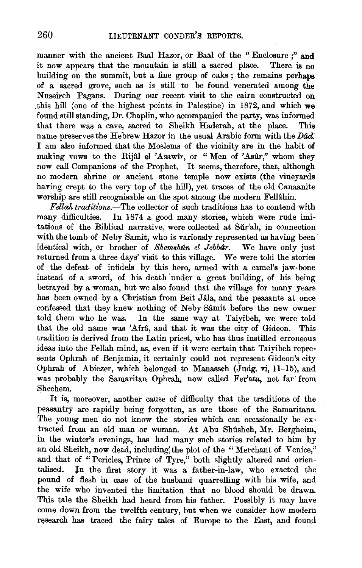manner with the ancient Baal Hazor, or Baal of the "Enclosure ;" and it now annears that the mountain is still a sacred place. There is no it now appears that the mountain is still a sacred place. building on the summit, but a fine group of oaks ; the remains perhaps of a sacred grove, such as is still to be found venerated among the Nuseireh Pagans. During our recent visit to the cairn constructed on .this hill (one of the highest points in Palestine) in 1872, and which we found still standing, Dr. Chaplin, who accompanied the party, was informed that there was a cave, sacred to Sheikh Haderah, at the place. name preserves the Hebrew Hazor in the usual Arabic form with the Dad. I am also informed that the Moslems of the vicinity are in the habit of making vows to the Rijal el 'Asawir, or "Men of 'Asûr," whom they now call Companions of the Prophet. It seems, therefore, that, although no modern shrine or ancient stone temple now exists (the vineyards having crept to the very top of the hill), yet traces of the old Canaanite worship are still recognisable on the spot among the modern Fellâhin.

*Fellah traditions.-The* collector of such traditions has to contend with many difficulties. In 1874 a good many stories, which were rude imitations of the Biblical narrative, were collected at Sur'ah, in connection with the tomb of Neby Samit, who is variously represented as having been identical with, or brother of *Shemskan el Jebbar.* We have only just returned from a three days' visit to this village. We were told the stories of the defeat of infidels by this hero, armed with a camel's jaw-bone instead of a sword, of his death 'under a great building, of his being betrayed by a woman, but we also found that the village for many years has been owned by a Christian from Beit Jala, and the peasants at once confessed that they knew nothing of Neby Sâmit before the new owner told them who he was. In the same way at Taiyibeh, we were told that the old name was 'Afrâ, and that it was the city of Gideon. This tradition is derived from the Latin priest, who has thus instilled erroneous ideas into the Fellah mind, as, even if it were certain that Taiyibeh represents Ophrah of Benjamin, it certainly could not represent Gideon's city Ophrah of Abiezer, which belonged to Manasseh (Judg. vi, 11-15), and was probably the Samaritan Ophrah, now called Fer'ata, not far from Shechem.

It is, moreover, another cause of difficulty that the traditions of the peasantry are rapidly being forgotten, as are those of the Samaritans. The young men do not know the stories which can occasionally be extracted from an old man or woman. At Abu Shftsheh, Mr. Bergheim, in the winter's evenings, has had many such stories related to him by an old Sheikh, now dead, including; the plot of the " Merchant of Venice," and that of "Pericles, Prince of Tyre," both slightly altered and orientalised. Jn the first story it was a father-in-law, who exacted the pound of flesh in case of the husband quarrelling with his wife, and the wife who invented the limitation that no blood should be drawn. This tale the Sheikh had heard from his father. Possibly it may have come down from the twelfth century, but when we consider how modern research has traced the fairy tales of Europe to the East, and found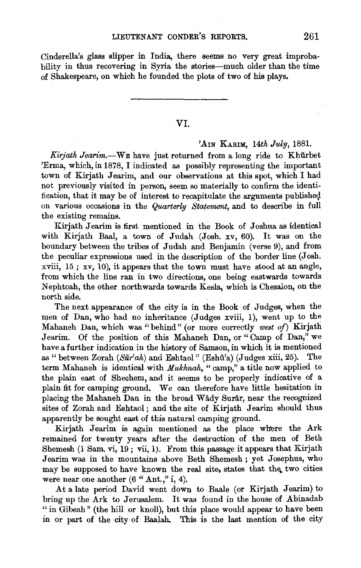Cinderella's glass slipper in India, there seems no very great improbability in thus recovering in Syria the stories-much older than the time of Shakespeare, on which he founded the plots of two of his plays.

VI.

'ArN KARIM, *14th July,* 1881.

*Kirjath Jearim.*-WE have just returned from a long ride to Khurbet 'Erma, which, in 1878, I indicated as possibly representing the important town of Kirjath Jearim, and our observations at this spot, which I had not previously visited in person, seem so materially to confirm the identification, that it may be of interest to recapitulate the arguments published on various occasions in the *Quarterly Statement,* and to describe in full the existing remains.

Kirjath Jearim is first mentioned in the Book of Joshua as identical with Kirjath Baal, a town of Judah (Josh. xv, 60). It was on the boundary between the tribes of Judah and Benjamin (verse 9), and from the peculiar expressions used in the description of the border line (Josh. xviii, 15; xv,  $\overline{10}$ ), it appears that the town must have stood at an angle, from which the line ran in two directions, one being eastwards towards Nephtoah, the other northwards towards Kesla, which is Chesalon, on the north side.

The next appearance of the city is in the Book of Judges, when the men of Dan, who had no inheritance (Judges xviii, 1), went up to the Mahaneh Dan, which was "behind" (or more correctly *west of)* Kirjath Jearim. Of the position of this Mahaneh Dan, or "Camp of Dan," we have a further indication in the history of Samson, in which it is mentioned as " between Zorah  $(S\tilde{u}r'ah)$  and Eshtaol" (Eshû'a) (Judges xiii, 25). The term Mahaneh is identical with *Mulchnah,* "camp," a title now applied to the plain east of Shechem, and it seems to be properly indicative of a plain fit for camping ground. We can therefore have little hesitation in placing the Mahaneh Dan in the broad Wâdy Surâr, near the recognized sites of Zorah and Eshtaol; and the site of Kirjath Jearim should thus apparently be sought east of this natural camping ground.

Kirjath Jearim is again mentioned as the place where the Ark remained for twenty years after the destruction of the men of Beth Shemesh (1 Sam. vi, 19; vii, 1). From this passage it appears that Kirjath Jearim was in the mountains above Beth Shemesh; yet Josephus, who may be supposed to have known the real site, states that the two cities were near one another (6 "Ant.," i, 4).

At a late period David went down to Baale (or Kirjath Jearim) to bring up the Ark to Jerusalem. It was found in the house of Abinadab "in Gibeah" (the hill or knoll), but this place would appear to have been in or part of the city of Baalah. This is the last mention of the city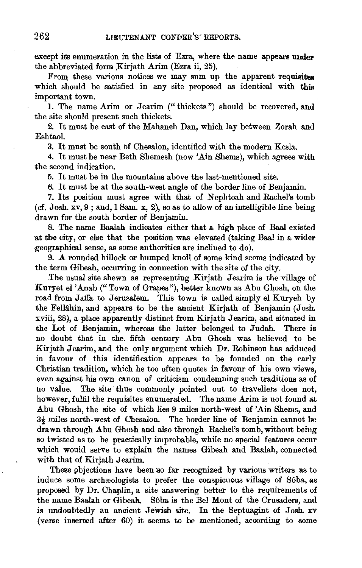except its enumeration in the lists of Ezra, where the name appears under the abbreviated form Kirjath Arim (Ezra ii, 25).

From these various notices we may sum up the apparent requisites which should be satisfied in any site proposed as identical with this important town.

1. The name Arim or Jearim ("thickets") should be recovered, and the site should present such thickets.

2. It must be east of the Mahaneh Dan, which lay between Zorah and Eshtaol.

3. It must be ·south of Chesalon, identified with the modern Kesla.

4. It must be near Beth Shemesh (now 'Ain Shems), which agrees with the second indication.

5. It must be in the mountains above the last-mentioned site.

6. It must be at the south-west angle of the border line of Benjamin.

7. Its position must agree with that of Nephtoah and Rachel's tomb (cf. Josh.  $xv$ , 9; and, 1 Sam.  $x$ , 2), so as to allow of an intelligible line being drawn for the south border of Benjamiu.

8. The name Baalah indicates either that a high place of Baal existed at the city, or else that the position was elevated (taking Baal in a wider geographical sense, as some authorities are inclined to do).

9. A rounded hillock or humped knoll of some kind seems indicated by the term Gibeah, occurring in connection with the site of the city.

The usual site shewn as representing Kirjath Jearim is the village of Kuryet el 'Anab ("Town of Grapes"), better known as Abu Ghosh, on the road from Jaffa to Jerusalem. This town is called simply el Kuryeh by the Fellahin, and appears to be the ancient Kirjath of Benjamin (Josh. xviii, 28), a place apparently distinct from Kirjath Jearim, and situated in the Lot of Benjamin, whereas the latter belonged to Judah. There is no doubt that in the. fifth century Abu Ghosh was believed to be Kirjath Jearim, and the only argument which Dr. Robinson has adduced in favour of this identification appears to be founded on the early Christian tradition, which he too often quotes in favour of his own views, even against his own canon of criticism condemning such traditions as of no value. The site thus commonly pointed out to travellers does not, however, fulfil the requisites enumerated. The name Arim is not found at Abu Ghosh, the site of which lies 9 miles north-west of 'Ain Shems, and 3! miles north-west of Chesalon. The border line of Benjamin cannot be drawn through Abu Ghosh and also through Rachel's tomb, without being so twisted as to be practically improbable, while no special features occur which would serve to explain the names Gibeah and Baalah, connected with that of Kiriath Jearim.

These pbjections have been so far recognized by various writers as to induce some archaeologists to prefer the conspicuous village of Sôba, as proposed by Dr. Chaplin, a site answering better to the requirements of the name Baalah or Gibeah. Sôba is the Bel Mont of the Crusaders, and is undoubtedly an ancient Jewish site. In the Septuagint of Josh. xv (verse inserted after 60) it seems to be mentioned, according to some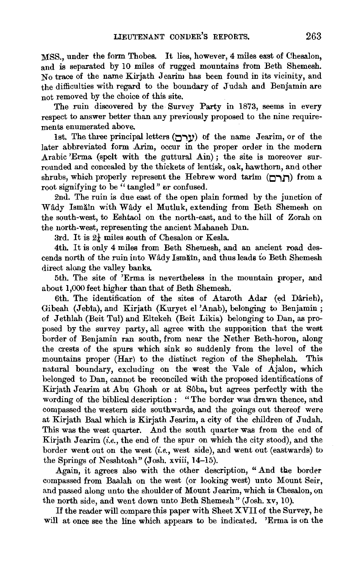MSS., under the form Thobes. It lies, however, 4 miles east of Chesalon, and is separated by 10 miles of rugged mountains from Beth Shemesh. No trace of the name Kirjath Jearim has been found in its vicinity, and the difficulties with regard to the boundary of J udah and Benjamin are not removed by the choice of this site.

The ruin discovered by the Survey Party in 1873, seems in every respect to answer better than any previously proposed to the nine requirements enumerated above.

1st. The three principal letters ( $y \rightarrow y$ ) of the name Jearim, or of the later abbreviated form Arim, occur in the proper order in the modern Arabic 'Erma (spelt with the guttural Ain) ; the site is moreover surrounded and concealed by the thickets of lentisk, oak, hawthorn, and other shrubs, which properly represent the Hebrew word tarim  $(2n)$  from a root signifying to be " tangled" or confused.

2nd. The ruin is due east of the open plain formed by the junction of Wady Ismain with Wady el Mutluk, extending from Beth Shemesh on the south-west, to Eshtaol on the north-east, and to the hill of Zorah on the north-west, representing the ancient Mahaneh Dan.

3rd. It is  $2\frac{1}{4}$  miles south of Chesalon or Kesla.

4th. It is only 4 miles from Beth Shemesh, and an ancient road descends north of the ruin into Wady Ismain, and thus leads to Beth Shemesh direct along the valley banks.

5th. The site of 'Erma is nevertheless in the mountain proper, and about 1,000 feet higher than that of Beth Shemesh.

6th. The identification of the sites of Ataroth Adar {ed Darieh), Gibeah (Jebia), and Kirjath (Kuryet el 'Anab), belonging to Benjamin; of J ethlah (Beit Tul) and Eltekeh (Beit Likia) belonging to Dan, as proposed by the survey party, all agree with the supposition that the west border of Benjamin ran south, from near the Nether Beth-horon, along the crests of the spurs which sink so suddenly from the level of the mountains proper (Har) to the distinct region of the Shephelah. This natural boundary, excluding on the west the Vale of Ajalon, which belonged to Dan, cannot be reconciled with the proposed identifications of Kirjath Jearim at Abu Ghosh or at Sôba, but agrees perfectly with the wording of the biblical description : "The border was drawn thence, and compassed the western side southwards, and the goings out thereof were at Kirjath Baal which is Kirjath Jearim, a city of the children of Judah. This was the west quarter. And the south quarter was from the end of Kirjath Jearim *(i.e.,* the end of the spur on which the city stood), and the border went out on the west *(i.e.,* west side), and went out (eastwards) to the Springs of Nesshtoah" (Josh. xviii, 14-15).

Again, it agrees also with the other description, "And the border compassed from Baalah on the west (or looking west) unto Mount Seir, and passed along unto the shoulder of Mount Jearim, which is Chesalon, on the north side, and went down unto Beth Shemesh" (Josh. xv, 10).

If the reader will compare this paper with Sheet XVII of the Survey, he will at once see the line which appears to be indicated. 'Erma is on the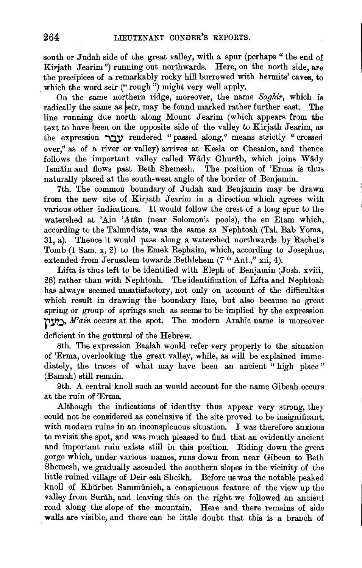south or Judah side of the great valley, with a spur (perhaps "the end of Kiriath Jearim") running out northwards. Here, on the north side, are the precipices of a remarkably rocky hill burrowed with hermits' caves, to which the word seir ("rough") might very well apply.

. On the same northern ridge, moreover, the name *Saghir,* which is radically the same as seir, may be found marked rather further east. The line running due north along Mount Jearim (which appears from the text to have been on the opposite side of the valley to Kirjath Jearim, as the expression "עבר rendered "passed along," means strictly "crossed over," as of a river or valley) arrives at Kesla or Chesalon, and thence follows the important valley called Wady Ghurab, which joins Wady Ismltin and flows past Beth Shemesh. The position of 'Erma is thus naturally placed at the south-west angle of the border of Benjamin.

7th. The common boundary of Judah and Benjamin may be drawn from the new site of Kirjath Jearim in a direction which agrees with various other indications. It would follow the crest of a long spur to the watershed at 'Ain 'Atân (near Solomon's pools), the en Etam which, according to the Talmudists, was the same as Nephtoah (Tal. Bab Yoma, 31, a). Thence it would pass along a watershed northwards by Rachel's Tomb (1 Sam. x, 2) to the Emek Rephaim, which, according to Josephus, extended from Jerusalem towards Bethlehem (7 "Ant.," xii, 4).

Lifta is thus left to be identified with Eleph of Benjamin (Josh. xviii, 28) rather than with Nephtoah. The identification of Lifta and Nephtoah has always seemed unsatisfactory, not only on account of the difficulties which result in drawing the boundary line, but also because no great spring or group of springs such as seems to be implied by the expression j,.lnJ, *M'ain* occurs at the spot. The modern Arabic name is moreover

deficient in the guttural of the Hebrew.

8th. The expression Baalah would refer very properly to the situation of 'Erma, overlooking the great valley, while, as will be explained immediately, the traces of what may have been an ancient "high place" (Bamah) still remain.

9th. A central knoll such as would account for the name Gibeah occurs at the ruin of 'Errna.

Although the indications of identity thus appear very strong, they could not be considered as conclusive if the site proved to be insignificant, with modern ruins in an inconspicuous situation. I was therefore anxious to revisit the spot, and was much pleased to find that an evidently ancient and important ruin exists still in this position. Riding down the great gorge which, under various names, runs down from near Gibeon to Beth Shemesh, we gradually ascended the southern slopes in the vicinity of the little ruined village of Deir esh Sheikh. Before us was the notable peaked knoll of Khurbet Sammunieh, a conspicuous feature of the view up the valley from Surah, and leaving this on the right we followed an ancient road along the slope of the mountain. Here and there remains of side walls are visible, and there can be little doubt that this is a branch of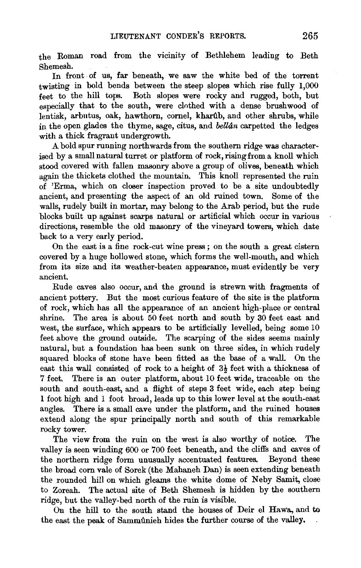the Roman road from the vicinity of Bethlehem leading to Beth Shemesh.

In front of us, far beneath, we saw the white bed of the torrent twisting in bold bends between the steep slopes which rise fully 1,000 feet to the hill tops. Both slopes were rocky and rugged, both, but especially that to the south, were clothed with a dense brushwood of lentisk, arbutus, oak, hawthorn, cornel, kharûb, and other shrubs, while in the open glades the thyme, sage, citus, and *bellan* carpetted the ledges with a thick fragrant undergrowth.

A bold spur running northwards from the southern ridge was characterised by a small natural turret or platform of rock, rising from a knoll which stood covered with fallen masonry above a group of olives, beneath which again the thickets clothed the mountain. This knoll represented the ruin of 'Erma, which on closer inspection proved to be a . site undoubtedly ancient, and presenting the aspect of an old ruined town. Some of the walls, rudely built in mortar, may belong to the Arab period, but the rude blocks built up against scarps natural or artificial which occur in various directions, resemble the old masonry of the vineyard towers, which date back to a very early period.

On the east is a fine rock-cut wine press; on the south a great cistern covered by a huge hollowed stone, which forms the well-mouth, and which from its size and its weather-beaten appearance, must evidently be very ancient.

Rude caves also occur, and the ground is strewn with fragments of ancient pottery. But the most curious feature of the site is the platform of rock, which has all the appearance of an ancient high-place or central shrine. The area is about 50 feet north and south by 30 feet east and west, the surface, which appears to be artificially levelled, being some 10 feet above the ground outside. The scarping of the sides seems mainly natural, but a foundation has been sunk on three sides, in which rudely squared blocks of stone have been fitted as the base of a wall. On the east this wall consisted of rock to a height of  $3\frac{1}{2}$  feet with a thickness of 7 feet. There is an outer platform, about 10 feet wide, traceable on the south and south-east, and a flight of steps 3 feet wide, each step being I foot high and 1 foot broad, leads up to this lower level at the south-east angles. There is a small cave under the platform, and the ruined houses extend along the spur principally north and south of this remarkable rocky tower.

The view from the ruin on the west is also worthy of notice. The valley is seen winding 600 or 700 feet beneath, and the cliffs and caves of the northern ridge form unusually accentuated features. Beyond these the broad corn vale of Sorek (the Mahaneh Dan) is seen extending beneath the rounded hill on which gleams the white dome of Neby Samit, close to Zoreah. The actual site of Beth Shemesh is hidden by the southern ridge, but the valley-bed north of the ruin is visible.

On the hill to the south stand the houses of Deir el Hawa, and to the east the peak of Sammunieh hides the further course of the valley.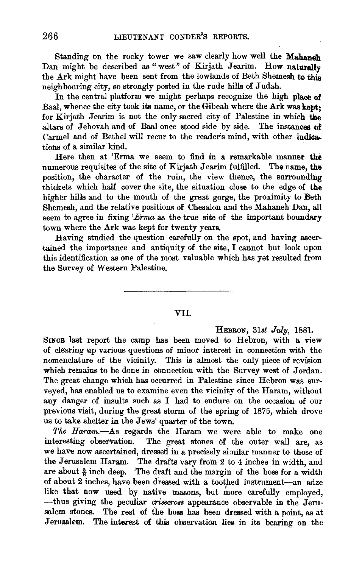Standing on the rocky tower we saw clearly how well the Mahaneh Dan might be described as "west" of Kirjath Jearim. How naturally the Ark might have been sent from the lowlands of Beth Shemesh to this neighbouring city, so strongly posted in the rude hills of Judah.

In the central platform we might perhaps recognize the high place of Baal, whence the city took its name, or the Gibeah where the Ark was kept; for Kirjath Jearim is not the only sacred city of Palestine in which the altars of Jehovah and of Baal once stood side by side. The instances of Carmel and of Bethel will recur to the reader's mind, with other indications of a similar kind.

Here then at 'Erma we seem to find in a remarkable manner the numerous requisites of the site of Kirjath Jearim fulfilled. The name, the position, the character of the ruin, the view thence, the surrounding thickets which half cover the site, the situation close to the edge of the higher hills and to the mouth of the great gorge, the proximity to Beth Shemesh, and the relative positions of Chesalon and the Mahaneh Dan, all seem to agree in fixing *'Erma* as the true site of the important boundary town where the Ark was kept for twenty years.

Having studied the question carefully on the spot, and having ascertained the importance and antiquity of the site, I cannot but look upon this identification as one of the most valuable which has yet resulted from the Survey of Western Palestine.

#### VII.

HEBRON, 31st July, 1881.

SINCE last report the camp has been moved to Hebron, with a view of clearing up various questions of minor interest in connection with the nomenclature of the vicinity. This is almost the only piece of revision which remains to be done in connection with the Survey west of Jordan. The great change which has occurred in Palestine since Hebron was surveyed, has enabled us to examine even the vicinity of the Haram, without any danger of insults such as I had to endure on the occasion of our previous visit, during the great storm of the spring of 1875, which drove us to take shelter in the Jews' quarter of the town.

*'l'he Haram.-.A.s* regards the Raram we were able to make one interesting observation. The great stones of the outer wall are, as we have now ascertained, dressed in a precisely similar manner to those of the Jerusalem Haram. The drafts vary from 2 to 4 inches in width, and are about  $\frac{3}{8}$  inch deep. The draft and the margin of the boss for a width of about 2 inches, have been dressed with a toothed instrument-an adze like that now used by native masons, but more carefully employed, -thus giving the peculiar *crisscross* appearance observable in the Jerusalem stones. The rest of the boss has been dressed with a point, as at Jerusalem. The interest of this observation lies in its bearing on the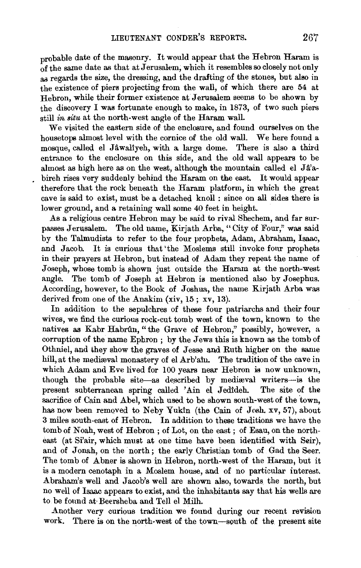probable date of the magonry. It would appear that the Hebron Haram is of the same date as that at Jerusalem, which it resembles so closely not only as regards the size, the dressing, and the drafting of the stones, but also in the existence of piers projecting from the wall, of which there are 54 at Hebron, while their former existence at Jerusalem seems to be shown by the discovery I was fortunate enough to make, in 1873, of two such piers still *in. situ* at the north-west angle of the Haram wall.

We visited the eastern side of the enclosure, and found ourselves on the housetops almost level with the cornice of the old wall. We here found a mosque, called el Jâwalîyeh, with a large dome. There is also a third entrance to the enclosure on this side, and the old wall appears to be almost as high here as on the west, although the mountain called el  $J\hat{a}'a$ bireh rises very suddenly behind the Haram on the east. It would appear therefore that the rock beneath the Haram platform, in which the great cave is said to exist, must be a detached knoll : since on all sides there is lower ground, and a retaining wall some 40 feet in height.

As a religious centre Hebron may be said to rival Shechem, and far surpasses Jerusalem. The old name, Kirjath Arba, "City of Four," was said by the Talmudists to refer to the four prophets, Adam, Abraham, Isaac, and Jacob. It is curious that 'the Moslems still invoke four prophets in their prayers at Hebron, but instead of Adam they repeat the name of Joseph, whose tomb is shown just outside the Haram at the north-west angle. The tomb of Joseph at Hebron is mentioned also by Josephus. According, however, to the Book of Joshua, the name Kirjath Arba was derived from one of the Anakim (xiv, 15 ; xv, 13).

In addition to the sepulchres of these four patriarchs and their four wives, we find the curious rock-cut tomb west of the town, known to the natives as Kabr Habrûn, "the Grave of Hebron," possibly, however, a corruption of the name Ephron ; by the Jews this is known as the tomb of Othniel, and they show the graves of Jesse and Ruth higher on the same hill, at the mediæval monastery of el Arb'ain. The tradition of the cave in which Adam and Eve lived for 100 years near Hebron is now unknown, though the probable site-as described by medieval writers-is the present subterranean spring called 'Ain el Jedideh. The site of the sacrifice of Cain and Abel, which used to be shown south-west of the town, has now been removed to Neby Yukin (the Cain of Josh. xv, 57), about 3 miles south-east of Hebron. In addition to these traditions we have the tomb of Noah, west of Hebron; of Lot, on the east; of Esau, on the northeast (at Si'air, which must at one time have been identified with Seir), and of Jonah, on the north; the early Christian tomb of Gad the Seer. The tomb of Abner is shown in Hebron, north-west of the Haram, but it is a modern cenotaph in a Moslem house, and of no particular interest. Abraham's well and Jacob's well are shown also, towards the north, but no well of Isaac appears to exist, and the inhabitants say that his wells are to be found at· Beersheba and Tell el Milh.

Another very curious tradition we found during our recent revision work. There is on the north-west of the town-south of the present site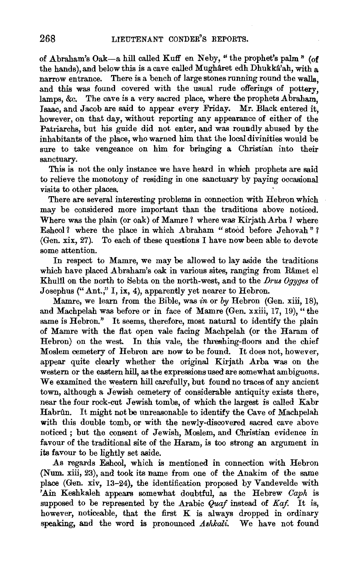of Abraham's Oak-a hill called Kuff en Neby, "the prophet's palm" (of the hands), and below this is a cave called Mughâret edh Dhukkâ'ah, with a narrow entrance. There is a bench of large stones running round the walls, and this was found covered with the usual rude offerings of pottery, lamps, &c. The cave is a very sacred place, where the prophets Abraham, Jsaac, and Jacob are said to appear every Friday. Mr. Black entered it, however, on that day, without reporting any appearance of either of the Patriarchs, but his guide did not enter, and was roundly abused by the inhabitants of the place, who warned him that the local divinities would be sure to take vengeance on him for bringing a Christian into their sanctuary.

This is not the only instance we have heard in which prophets are said to relieve the monotony of residing in one sanctuary by paying occasional visits to other places.

There are several interesting problems in connection with Hebron which may be considered more important than the traditions above noticed. Where was the plain (or oak) of Mamre? where was Kirjath Arba? where Eshcol? where the place in which A braham " stood before Jehovah"? (Gen. xix, 27). To each of these questions I have now been able to devote some attention.

In respect to Mamre, we may be allowed to lay aside the traditions which have placed Abraham's oak in various sites, ranging from R&met el Khulil on the north to Sebta on the north-west, and to the *Drus Ogyges* of Josephus ("Ant.," I, ix, 4), apparently yet nearer to Hebron.

Mamre, we learn from the Bible, was *in* or by Hebron (Gen. xiii, 18), and Machpelah was before or in face of Mamre (Gen. xxiii, 17, 19), "the same is Hebron." It seems, therefore, most natural to identify the plain of Mamre with the flat open vale facing Machpelah (or the Haram of Hebron) on the west. In this vale, the threshing-floors and the chief Moslem cemetery of Hebron are now to be found. It does not, however, appear quite clearly whether the original Kirjath Arba was on the western or the eastern hill, as the expressions used are somewhat ambiguous. We examined the western hill carefully, but found no traces of any ancient town, although a Jewish cemetery of considerable antiquity exists there, near the four rock-cut Jewish tombs, of which the largest is called Kabr Habrûn. It might not be unreasonable to identify the Cave of Machpelah with this double tomb, or with the newly-discovered sacred cave above noticed ; but the consent of Jewish, Moslem, and Christian evidence in favour of the traditional site of the Haram, is too strong an argument in its favour to be lightly set aside.

As regards Eshcol, which is mentioned in connection with Hebron (Num. xiii, 23), and took its name from one of the Anakim of the same place (Gen. xiv, 13-24), the identification proposed by Vandevelde with 'Ain Keshkaleh appears somewhat doubtful, as the Hebrew *Caph* is supposed to be represented by the Arabic *Quaf* instead of *Kaf.* It is, however, noticeable, that the first K is always dropped in ordinary speaking, and the word is pronounced *Ashkali.* We have not found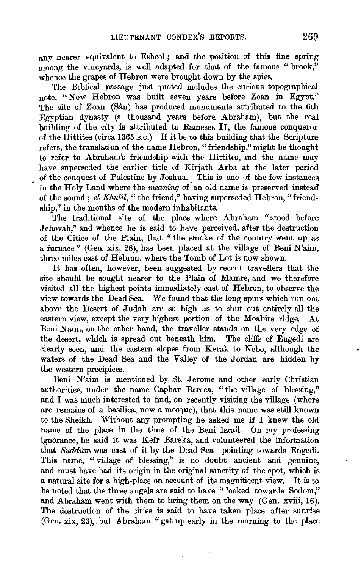any nearer equivalent to Eshcol; and the position of this fine spring among the vineyards, is well adapted for that of the famous " brook," whence the grapes of Hebron were brought down by the spies.

The Biblical passage just quoted includes the curious topographical note, "Now Hebron was built seven years before Zoan in Egypt." The site of Zoan (Sân) has produced monuments attributed to the 6th Egyptian dynasty (a thousand years before. Abraham), but the real building of the city is attributed to Rameses II, the famous conqueror of the Hittites (circa 1365 B.c.) If it be to this building that the Scripture refers, the translation of the name Hebron, "friendship," might be thought to refer to Abraham's friendship with the Hittites, and the name may have superseded the earlier title of Kirjath Arba at the later period of the conquest of Palestine by Joshua. This is one of the few instances in the Holy Land where the *meaning* of an old name is preserved instead of the sound: *el Khulil*, "the friend," having superseded Hebron, "friendship," in the mouths of the modern inhabitants.

The traditional site of the place where Abraham "stood before Jehovah," and whence he is said to have perceived, after the destruction of the Cities of the Plain, that " the smoke of the country went up as a furnace" (Gen. xix, 28), has been placed at the village of Beni N'aim, three miles east of Hebron, where the Tomb of Lot is now shown.

It has often, however, been suggested by recent travellers that the site should be sought nearer to the Plain of Mamre, and we therefore visited all the highest points immediately east of Hebron, to observe the view towards the Dead Sea. We found that the long spurs which run out above the Desert of Judah are so high as to shut out entirely all the eastern view, except the very highest portion of the Moabite ridge. At Beni Naim, on the other hand, the traveller stands on the very edge of the desert, which is spread out beneath him. The cliffs of Engedi are clearly seen, and the eastern slopes from Kerak to Nebo, although the waters of the Dead Sea and the Valley of the Jordan are hidden by the western precipices.

Beni N'aim is mentioned by St. Jerome and other early Christian authorities, under the name Caphar Bareca, "the village of blessing," and I was much interested to find, on recently visiting the village (where are remains of a basilica, now a mosque), that this name was still known to the Sheikh. Without any prompting he asked me if I knew the old name of the place in the time of the Beni Israil. On my professing ignorance, he said it was Kefr Bareka, and volunteered the information that Suddûm was east of it by the Dead Sea-pointing towards Engedi. This name, "village of blessing," is no doubt ancient and genuine, and must have had its origin in the original sanctity of the spot, which is a natural site for a high-place on account of its magnificent view. It is to be noted that the three angels are said to have "looked towards Sodom," and Abraham went with them to bring them on the way' (Gen. xviii, 16). The destruction of the cities is said to have taken place after sunrise (Gen. xix, 23), but Abraham "gat up early in the morning to the place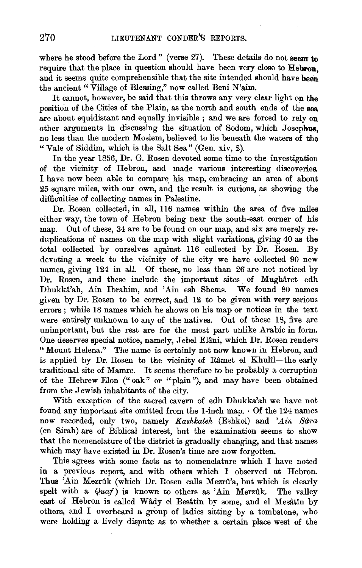where he stood before the Lord" (verse 27). These details do not seem to require that the place in question should have been very close to Hebron. and it seems quite comprehensible that the site intended should have been the ancient "Village of Blessing," now called Beni N'aim.

It cannot, however, be said that this throws any very clear light on the position of the Cities of the Plain, as the north and south ends of the sea are about equidistant and equally invisible ; and we are forced to rely on other arguments in discussing the situation of Sodom, which Josephus, no less than the modern Moslem, believed to lie beneath the waters of the "Vale of Siddim, which is the Salt Sea" (Gen. xiv, 2).

In the year 1856, Dr. G. Rosen devoted some time to the inyestigation of the vicinity of Hebron, and made various interesting discoveries. I have now been able to compare. his map, embracing an area of about 25 square miles, with our own, and the result is curious, as showing the difficulties of collecting names in Palestine.

Dr. Rosen collected, in all, 116 names within the area of five miles either way, the town of Hebron being near the south-east corner of his map. Out of these, 34 are to be found on our map, and six are merely reduplications of names on the map with slight variations, giving 40 as the total collected by ourselves against 116 collected by Dr. Rosen. By devoting a week to the vicinity of the city we have collected 90 new names, giving 124 in all. Of these, no less than 26 are not noticed by Dr. Rosen, and these include the important sites of Mugharet edh Dhukka'ah, Ain Ibrahim, and 'Ain esh Shems. We found 80 names given by Dr. Rosen to be correct, and 12 to be given with very serious errors ; while 18 names which he shows on his map or notices in the text were entirely unknown to any of the natives. Out of these 18, five are unimportant, but the rest are for the most part unlike Arabic in form. One deserves special notice, namely, Jebel Elâni, which Dr. Rosen renders "Mount Helena." The name is certainly not now known in Hebron, and is applied by Dr. Rosen to the vicinity of Ramet el Khulil-the early traditional site of Mamre. It seems therefore to be probably a corruption of the Hebrew Elon ("oak" or "plain"), and may have been obtained from the Jewish inhabitants of the city.

With exception of the sacred cavern of edh Dhukka'ah we have not found any important site omitted from the 1-inch map.  $\cdot$  Of the 124 names now recorded, only two, namely *Kashkaleh* (Eshkol) and 'Ain Sara (en Sirah) are of Biblical interest, but the examination seems to show that the nomenclature of the district is gradually changing, and that names which may have existed in Dr. Rosen's time are now forgotten.

This agrees with some facts as to nomenclature which I have noted in a previous report, and with others which I observed at Hebron. Thus 'Ain Mezrûk (which Dr. Rosen calls Mezrû'a, but which is clearly spelt with a  $Quaf$ ) is known to others as 'Ain Merzûk. The valley east of Hebron is called Wâdy el Besâtin by some, and el Mesâtin by others, and I overheard a group of ladies sitting by a tombstone, who were holding a lively dispute as to whether a certain place west of the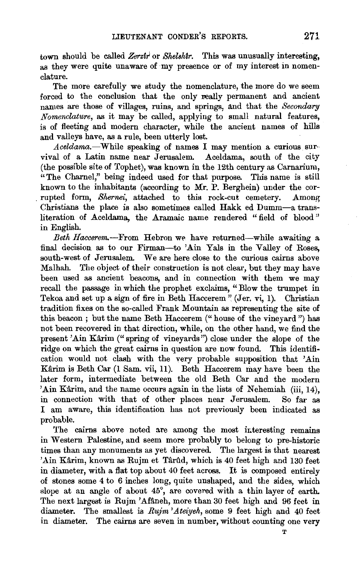town should be called Zerzir or *Shelshir*. This was unusually interesting, as they were quite unaware of my presence or of my interest in nomenclature.

The more carefully we study the nomenclature, the more do we seem forced to the conclusion that the only really permanent and ancient names are those of villages, ruins, and springs, and that the *Secondary Nomenclature,* as it may be called, applying to small natural features, is of fleeting and modern character, while the ancient names of hills and valleys have, as a rule, been utterly lost.

*Aceldama.-While* speaking of names I may mention a curious sur· viva! of a Latin name near Jerusalem. Aceldama, south of the city (the possible site of Tophet), was known in the 12th century as Carnarium, "The Charnel," being indeed used for that purpose. This name is still known to the inhabitants (according to Mr. P. Berghein) under the cor rupted form, *Shernei*, attached to this rock-cut cemetery. Among Christians the place is also sometimes called Hakk ed Dumm-a transliteration of Aceldama, the Aramaic name rendered "field of blood" in English.

*Beth Haccerem.-From* Hebron we have returned-while awaiting a final decision as to our Firman-to 'Ain Yals in the Valley of Roses, south-west of Jerusalem. We are here close to the curious cairns above Malhah. The object of their construction is not clear, but they may have been used as ancient beacons, and in connection with them we may recall the passage in which the prophet exclaims, "Blow the trumpet in Tekoa and set up a sign of fire in Beth Haccerem " (Jer. vi. 1). Christian tradition fixes on the so-called Frank Mountain as representing the site of this beacon ; but the name Beth Haccerem ("house of the vineyard ") has not been recovered in that direction, while, on the other hand, we find the present 'Ain Karim ("spring of vineyards") close under the slope of the ridge on which the great cairns in question are now found. This identification would not clash with the very probable supposition that 'Ain Kârim is Beth Car (1 Sam. vii, 11). Beth Haccerem may have been the later form, intermediate between the old Beth Car and the modern 'Ain Katim, and the name occurs again in the lists of Nehemiah (iii, 14), in connection with that of other places near Jerusalem. So far as I am aware, this identification has not previously been indicated as probable.

The cairns above noted are among the most interesting remains in Western Palestine, and seem more probably to belong to pre-historic times than any monuments as yet discovered. The largest is that nearest 'Ain Kârim, known as Rujm et Târûd, which is 40 feet high and 130 feet in diameter, with a flat top about 40 feet across. It is composed entirely of stones some 4 to 6 inches long, quite unshaped, and the sides, which slope at an angle of about 45°, are covered with a thin layer of earth. The next largest is Rujm 'Afaneh, more than 30 feet high and 96 feet in diameter. The smallest is *Rujm 'Ateiyeh,* some 9 feet high and 40 feet in diameter. The cairns are seven in number, without counting one very

m,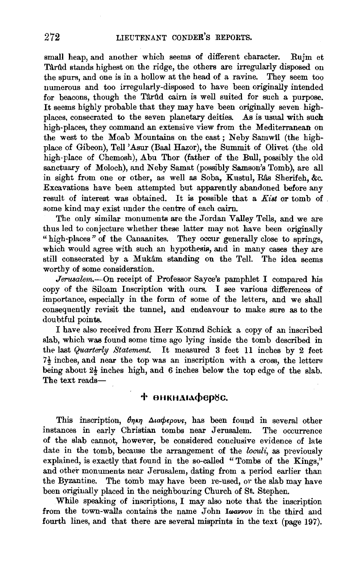small heap, and another which seems of different character. Rujm et Tarûd stands highest on the ridge, the others are irregularly disposed on the spurs, and one is in a hollow at the head of a ravine. They seem too numerous and too irregularly-disposed to have been originally intended for beacons, though the Tarud cairn is well suited for such a purpose. It seems highly probable that they may have been originally seven highplaces, consecrated to the seven planetary deities. As is usual with such high-places, they command an extensive view from the Mediterranean on the west to the Moab Mountains on the east; Neby Samwil (the highplace of Gibeon), Tell 'Asur (Baal Razor), the Summit of Olivet (the old high-place of Chemosh), Abu Thor (father of the Bull, possibly the old sanctuary of Moloch), and Neby Samat (possibly Samson's Tomb), are all in sight from one or other, as well as Soba, Kustul, Râs Sherifeh, &c. Excavations have been attempted but apparently abandoned before any result of interest was obtained. It is possible that a *Kist* or tomb of . some kind may exist under the centre of each cairn.

The only similar monuments are the Jordan Valley Tells, and we are thus led to conjecture whether these latter may not have been originally "high-places" of the Canaanites. They occur generally close to springs, which would agree with such an hypothesis, and in many cases they are still consecrated by a Mukâm standing on the Tell. The idea seems worthy of some consideration.

*Jerusalem.-On* receipt of Professor Sayee's pamphlet I compared his copy of the Siloam Inscription with ours. I see various differences of importance, especially in the form of some of the letters, and we shall consequently revisit the tunnel, and endeavour to make sure as to the doubtful points.

I have also received from Herr Konrad Schick a copy of an inscribed slab, which was found some time ago lying inside the tomb described in the last *Quarterly Statement.* It measured 3 feet 11 inches by 2 feet  $7\frac{1}{2}$  inches, and near the top was an inscription with a cross, the letters being about  $2\frac{1}{2}$  inches high, and 6 inches below the top edge of the slab. The text reads-

## + өнкндіафер8с.

This inscription,  $\theta$ *pkp*  $\Delta \iota a \phi \epsilon \rho o \nu s$ , has been found in several other instances in early Christian tombs near Jerusalem. The occurrence of the slab cannot, however, be considered conclusive evidence of late date in the tomb, because the arrangement of the *loculi*, as previously explained, is exactly that found in the so-called "Tombs of the Kings," and other monuments near Jerusalem, dating from a period earlier than the Byzantine. The tomb may have been re-used, or the slab may have been originally placed in the neighbouring Church of St. Stephen.

While speaking of inscriptions, I may also note that the inscription from the town-walls contains the name John looawov in the third and fourth lines, and that there are several misprints in the text (page 197).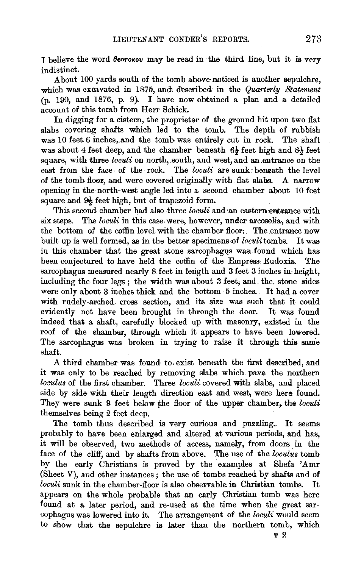I believe the word  $\theta$ *earokov* may be read in the third line, but it is very indistinct.

About 100 yards south of the tomb above· noticed is another sepulchre, which was excavated in 1875, and described in the *Quarterly Statement*  $(p. 190, and 1876, p. 9)$ . I have now obtained a plan and a detailed account of this tomb from Herr Schick.

In digging for a cistern, the proprietor of the ground hit upon two flat slabs covering shafts which led to the tomb. The depth of rubbish was 10 feet 6 inches, and the tomb was entirely cut in rock. The shaft was about 4 feet deep, and the chamber beneath 6<sup>1</sup> feet high and 8<sup>1</sup> feet square, with three *loculi* on north, south, and west, and an entrance on the east from the face· of the rock. The *loculi* are sunk: beneath the level of the tomb floor, and were covered originally with flat slabs. A narrow opening in the north-west angle led into a second chamber. about 10 feet square and 9<sup>k</sup> feet high, but of trapezoid form.

This second chamber had also three *loculi* and an eastern entrance with six steps. The *loculi* in this case, were, however, under arcosolia, and with the bottom of the coffin level with the chamber floor;. The entrance now built up is well formed, as in the better specimens of *loculi* tombs. It was in this chamber that the great stone sarcophagus was found which has been conjectured to have held the coffin of the Empress Eudoxia. The been conjectured to have held the coffin of the Empress Eudoxia. sarcophagus measured nearly 8 feet in length and 3 feet 3 inches in height, including the four legs ; the width was about 3 feet; and. the. stone sides were only about 3 inohes thick and the bottom 5 inches. It had a cover with rudely-arched. cross section, and its size was such that it could evidently not have been brought in through the door. It was found indeed that a shaft, carefully blocked up with masonry, existed in the roof of the chamber, through which it appears to have been lowered. The sarcophagus was broken in trying to raise it through this sam'e shaft.

A third chamber was found· to. exist beneath the first described, and it was only to be reached by removing slabs which pave the northern *loculus* of the first chamber. Three *loculi* covered with slabs, and placed side by side with their length direction east and west, were here found. They were sunk 9 feet below the floor of the upper chamber, the *loculi* themselves being 2 feet deep.

The tomb thus described is very curious and puzzling.. It seems probably to have been enlarged and altered at various periods, and has, it will be observed, two methods of access, namely, from doom in the face of the cliff, and by shafts from above. The use of the *loculus* tomb by the early Christians is proved by the examples at Shefa 'Amr (Sheet V), and other instances ; the use of tombs reached by shafts and of *loculi* sunk in the chamber-floor is also observable in Christian tombs. It appears on the whole probable that an early Christian tomb waa here found at a later period, and re-used at the time when the great sarcophagus was lowered into it. The arrangement of the *loculi* would seem to show that the sepulchre is later than the northern tomb, which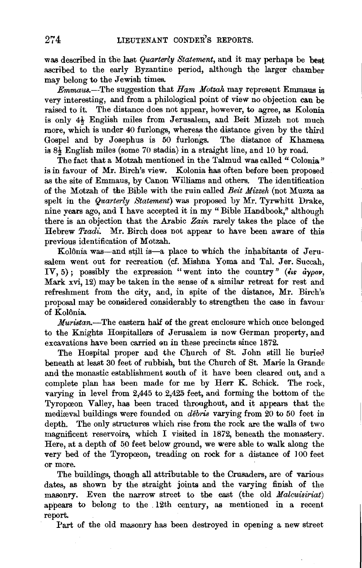was described in the last *Quarterly Statement*, and it may perhaps be best ascribed to the early Byzantine period, although the larger chamber may belong to the Jewish times.

*Emmaus.--The* suggestion that *Ham Notzah* may represent Emmaus is very interesting, and from a philological point of view no objection can be raised to it. The distance does not appear, however, to agree, as Kolonia is only 4} English miles from Jerusalem, and Beit Mizzeh not much more, which is under 40 furlongs, whereas the distance given by the third Gospel and by Josephus is 50 furlongs. The distance of Khamesa is  $8\frac{1}{3}$  English miles (some 70 stadia) in a straight line, and 10 by road.

The fact that a Motzah mentioned in the Talmud was called " Colonia" is in favour of Mr. Birch's view. Kolonia has often before been proposed as the site of Emmaus, by Canon Williams and others. The identification of the Motzah of the Bible with the ruin called *Beit Mizzeh* (not Muzza as spelt in the *Quarterly Statement*) was proposed by Mr. Tyrwhitt Drake, nine years ago, and I have accepted it in my " Bible Handbook," although there is an objection that the Arabic *Zain* rarely takes the place of the Hebrew *Tzadi.* Mr. Birch does not appear to have been aware of this previous identification of Motzah.

Kolônia was-and still is-a place to which the inhabitants of Jerusalem went out for recreation (cf. Mishna Yoma and Tal. Jer. Succah, IV, 5); possibly the expression "went into the country" *(dis dypor,* Mark xvi, 12) may be taken in the sense of a similar retreat for rest and refreshment from the city, and, in spite of the distance, Mr. Birch's proposal may be considered considerably to strengthen the case in favour of Kol6nia.

*Nuristan.-The* eastern half of the great enclosure which once belonged to the Knights Hospitallers of Jerusalem is now German property, and excavations have been carried on in these precincts since 1872.

The Hospital proper and the Church of St. John still lie buried beneath at least 30 feet of rubbish, but the Church of St. Marie la Grande and the monastic establishment south of it have been cleared out, and a complete plan has been made for me by Herr K. Schick. The rock, varying in level from 2,445 to 2,425 feet, and forming the bottom of the Tyropœon Valley, has been traced throughout, and it appears that the mediæval buildings were founded on *débris* varying from 20 to 50 feet in depth. The only structures which rise from the rock are the walls of two magnificent reservoirs, which I visited in 1872, beneath the monastery. Here, at a depth of 50 feet below ground, we were able to walk along the very bed of the Tyropœon, treading on rock for a distance of 100 feet or more.

The buildings, though all attributable to the Crusaders, are of various dates, as shown by the straight joints and the varying finish of the masonry. Even the narrow street to the east (the old *Nalcuisiriat)*  appears to belong to the . 12th century, as mentioned in a recent report.

Part of the old masonry has been destroyed in opening a new street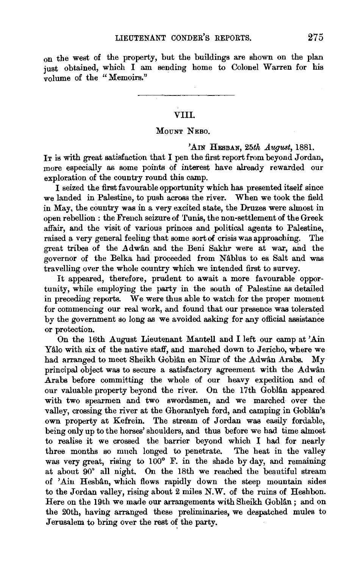on the west of the property, but the buildings are shown on the plan just obtained, which I am sending home to Colonel Warren for his volume of the "Memoirs."

## VIII.

#### MOUNT NEBO.

'AIN HESBAN, 25th August, 1881.

IT is with great satisfaction that I pen the first report from beyond Jordan, more especially as some points of interest have already rewarded our exploration of the country round this camp.

I seized the first favourable opportunity which has presented itself since we landed in Palestine, to push across the river. When we took the field in May, the country was in a very excited state, the Druzes were almost in open rebellion : the French seizure of Tunis, the non-settlement of the Greek affair, and the visit of various princes and political agents to Palestine, raised a very general feeling that some sort of crisis was approaching. The great tribes of the Adwan and the Beni Sakhr were at war, and the governor of the Belka had proceeded from Nilblus to es Salt and was travelling over the whole country which we intended first to survey.

It appeared, therefore, prudent to await a more favourable opportunity, while employing the party in the south of Palestine as detailed in preceding reports. We were thus able to watch for the proper moment for commencing our real work, and found that our presence was tolerated by the government so long as we avoided asking for any official assistance or protection.

On the 16th August Lieutenant Mantell and I left our camp at 'Ain Yalo with six of the native staff, and marched down to Jericho, where we had arranged to meet Sheikh Goblân en Nimr of the Adwân Arabs. My principal object was to secure a satisfactory agreement with the Adwan Arabs before committing the whole of our heavy expedition and of our valuable property beyond the river. On the 17th Goblân appeared with two spearmen and two swordsmen, and we marched over the valley, crossing the river at the Ghorantyeh ford, and camping in Goblan's own property at Kefrein. The stream of Jordan was easily fordable, being only up to the horses' shoulders, and thus before we had time almost to realise it we crossed the barrier beyond which I had for nearly three months so much longed to penetrate. The heat in the valley was very great, rising to 100° F. in the shade by day, and remaining at about 90° all night. On the 18th we reached the beautiful stream of 'Ain Hesbân, which flows rapidly down the steep mountain sides to the Jordan valley, rising about 2 miles N.W. of the ruins of Heshbon. Here on the 19th we made our arrangements with Sheikh Goblân; and on the 20th, having arranged these preliminaries, we despatched mules to Jerusalem to bring over the rest of the party.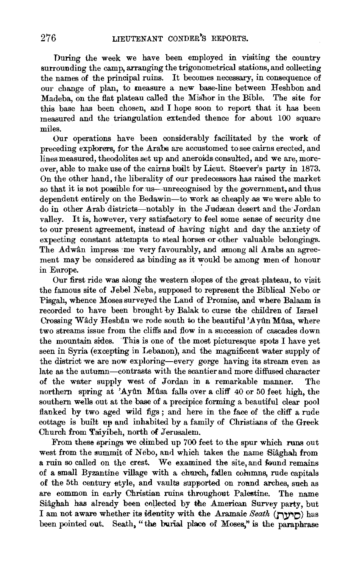During the week we have been employed in visiting the country surrounding the camp, arranging the trigonometrical stations, and collecting the names of the principal ruins. It becomes necessary, in consequence of our change of plan, to measure a new base-line between Reshbon and Madeba, on the flat plateau called the Misbor in ihe Bible. The site for this base has been chosen, and I hope soon to report that it has been measured and the triangulation extended thence for about 100 square miles.

Our operations have been oonsiderably facilitated by the work of preceding explorers, for the Arabs are accustomed to see cairns erected, and lines measured, theodolites set up and aneroids consulted, and we are, moreover, able to make use of the eairns built by Lieut. Steever's party in 1873. On the other hand, the liberality of our predecessors has raised the market so that it is not possible for us--unrecognised by the government, and thus dependent entirely on the Bedawin-to work as cheaply as we were able to do in other Arab districts-notably in the Judæan desert and the Jordan valley. It is, however, very satisfaotory to feel some sense of security due to our present agreement, instead of having night and day the anxiety of expecting constant attempts to steal horses or other valuable belongings. The Adwân impress me very favourably, and among all Arabs an agreement may be considered as binding as it would be among men of honour in Europe.

Our first ride was along the western slopes of the great plateau, to visit the famous site of Jebel Neba, supposed to represent the Biblical Nebo or Pisgah, whence Moses surveyed the Land of Promise, and where Balaam is recorded to have been brought by Balak to curse the children of Israel Crossing Wâdy Hesbân we rode south to the beautiful 'Ayûn Mûsa, where two streams issue from the cliffs and flow in a succession of cascades down the mountain sides. 'This is one of the most picturesque spots I have yet seen in Syria (excepting in Lebanon), and the magnificent water supply of the district we are now exploring-every gorge having its stream even as late as the autumn-contrasts with the scantier and more diffused character of the water supply west of Jordan in a remarkable manner. The northern spring at 'Ayûn Mûsa falls over a cliff 40 or 50 feet high, the southern wells out at the base of a precipice forming a beautiful clear pool flanked by two aged wild figs ; and here in the face of the cliff a rude cottage is built up and inhabited by a family of Christians of the Greek Church from 'faiyibeh, north of Jerusalem.

From these springs we climbed up 700 feet to the spur which runs out west from the summit of Nebo, and which takes the name Siaghah from a ruin so called on the crest. We examined the site, and found remains of a small Byzantine village with a church, fallen columns, rude capitals of the 5th century style, and vaults supported on round arches, such as are common in early Christian ruins throughout Palestine. The name Siâghah has already been collected by the American Survey party, but I am not aware whether its identity with the Aramaic *Seath* (ריטר) has been pointed out. Seath, "the burial place of Moses," is the paraphrase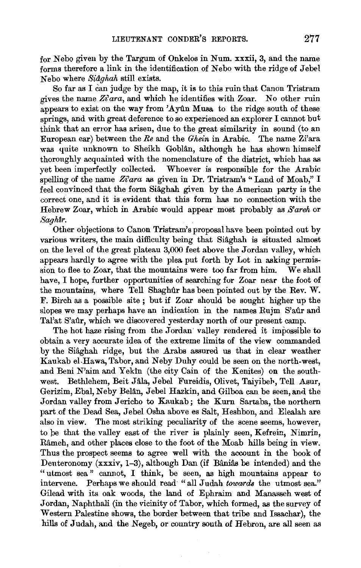for Nebo given by the Targum of Onkelos in Num. xxxii, 3, and the name forms therefore a link in the identification of Nebo with the ridge of Jebel Nebo where *Sidghah* still exists.

So far as I can judge by the map, it is to this ruin that Canon Tristram gives the name *Zt'ara,* and which he identifies with Zoar. No other ruin appears to exist on the way from 'Aytln Musa to the ridge south of these springs, and with great deference to so experienced an explorer I cannot but think that an error has arisen, due to the great similarity in sound (to an European ear) between the *Re* and the *Ghein* in Arabic. The name Zi'ara was quite unknown to Sheikh Goblân, although he has shown himself thoroughly acquainted with the nomenclature of the district, which has as yet been imperfectly collected. Whoever is responsible for the Arabic spelling of the name *Zi'ara* as given in Dr. Tristram's "Land of Moab," I feel convinced that the form Sifighah given by the American party is the correct one, and it is evident that this form has no connection with the Hebrew Zoar, which in Arabic would appear most probably as *B'areh* or *8aghtr.* 

Other objections to Canon Tristram's proposal have been pointed out by various writers, the main difficulty being that Siâghah is situated almost on the level of the great plateau 3,000 feet above the Jordan valley, which appears hardly to agree with the plea put forth by Lot in asking permission to flee to Zoar, that the mountains were too far from him. We shall have, I hope, further opportunities of searching for Zoar near the foot of the mountains, where Tell Shaghur has been pointed out by the Rev. W. F. Birch as a possible site ; but if Zoar should be sought higher up the slopes we may perhaps have an indication in the names Rujm S'aûr and Tal'at S'ailr, which we discovered yesterday north of our present camp.

The hot haze rising from the Jordan valley rendered it impossible to obtain a very accurate idea of the extreme limits of the view commanded by the Siaghah ridge, but the Arabs assured us that in clear weather Kaukab el.Hawa, Tabor, and Neby Duhy could be seen on the north-west, and Beni N'aim and Yekin (the city Cain of the Kenites) on the southwest. Bethlehem, Beit Jâla, Jebel Fureidis, Olivet, Taiyibeh, Tell Asur, Gerizim, Ebal, Neby Belân, Jebel Hazkin, and Gilboa can be seen, and the Jordan valley from Jericho to Kaukab; the Kurn Sartaba, the northern part of the Dead Sea, Jebel Osha above es Salt, Heshbon, and Elealah are also in view. The most striking peculiarity of the scene seems, however, to be that the valley east of the river is plainly seen, Kefrein, Nimrin, Râmeh, and other places close to the foot of the Moab hills being in view. Thus the prospect seems to agree well with the account in the book of Deuteronomy (xxxiv, 1-3), although Dan (if Bâniâs be intended) and the "utmost sea " cannot, I think, be seen, as high mountains appear to intervene. Perhaps we should read "all Judah *towards* the utmost sea." Gilead with its oak woods, the land of Ephraim and Manasseh west of Jordan, Naphthali (in the vicinity of Tabor, which formed, as the survey of Western Palestine shows, the border between that tribe and Issachar), the hills of Judah, and the Negeb, or country south of Hebron, are all seen as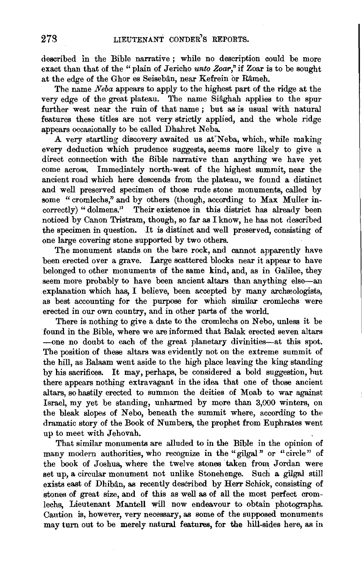described in the Bible narrative ; while no description could be more exact than that of the "plain of Jericho *unto Zoar,"* if Zoar is to be sought at the edge of the Ghor es Seisebân, near Kefrein or Râmeh.

The name *Neba* appears to apply to the highest part of the ridge at the very edge of the great plateau. The name Siâghah applies to the spur further west near the ruin of that name ; but as is usual with natural features these titles are not very strictly applied, and the whole ridge appears occasionally to be called Dhahret Neba.

A very startling discovery awaited us at'Neba, which, while making every deduction which prudence suggests, seems more likely to give a direct connection with the Bible narrative than anything we have yet come across. Immediately north-west of the highest summit, near the ancient road which here descends from the plateau, we found a distinct and well preserved specimen of those rude stone monuments, called by some "cromlechs," and by others (though, according to Max Muller incorrectly) "dolmens." Their existence in this district has already been noticed by Canon Tristram, though, so far as I know, he has not described the specimen in question. It is distinct and well preserved, consisting of one large covering stone supported by two others.

The monument stands on the bare rock, and cannot apparently have been erected over a grave. Large scattered blocks near it appear to have belonged to other monuments of the same kind, and, as in Galilee, they seem more probably to have been ancient altars than anything else-an explanation which has, I believe, been accepted by many archeologists, as best accounting for the purpose for which similar cromlechs were erected in our own country, and in other parts of the world.

There is nothing to give a date to the cromlechs on Nebo, unless it be found in the Bible, where we are informed that Balak erected seven altars -one no doubt to each of the great planetary divinities-at this spot. The position of these altars was evidently not on the extreme summit of the hill, as Balaam went aside to the high place leaving the king standing by his sacrifices. It may, perhaps, be considered a bold suggestion, hut there appears nothing extravagant in the idea that one of those ancient altars, so hastily erected to summon the deities of Moab to war against Israel, my yet be standing, unharmed by more than 3,000 winters, on the bleak slopes of Nebo, beneath the summit where, according to the dramatic story of the Book of Numbers, the prophet from Euphrates went up to meet with Jehovah.

That similar monuments are alluded to in the Bible in the opinion of many modern authorities, who recognize in the "gilgal" or "circle" of the book of Joshua, where the twelve stones taken from Jordan were set up, a circular monument not unlike Stonehenge. Such a gilgal still exists east of Dhibân, as recently described by Herr Schick, consisting of stones of great size, and of this as well as of all the most perfect cromlechs, Lieutenant Mantell will now endeavour to obtain photographs. Caution is, however, very necessary, as some of the supposed monuments may turn out to be merely natural features, for the hill-sides here, as in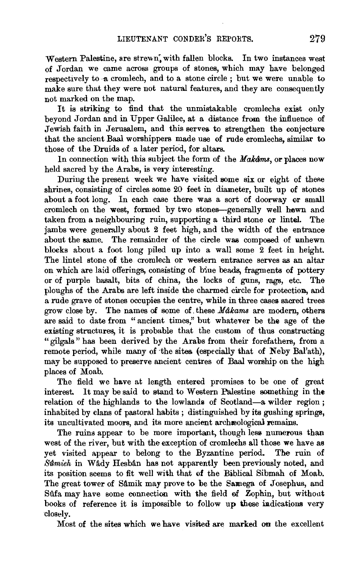Western Palestine, are strewn' with fallen blocks. In two instances west of Jordan we came across groups of stones, which may have belonged respectively to a cromlech, and to a stone circle; but we were unable to make sure that they were not natural features, and they are consequently not marked on the map.

It is striking to find that the unmistakable cromlechs exist only beyond Jordan and in Upper Galilee, at a distance from the influence of Jewish faith in Jerusalem, and this serves to strengthen the conjecture that the ancient Baal worshippers made use of rude cromlechs, similar to those of the Druids of a later period, for altars.

In connection with this subject the form of the *Maktims,* or places now held sacred by the Arabs, is very interesting.

During the present week we have visited some six or eight of these shrines, consisting of circles some 20 feet in diameter, built up of stones about a foot long. In each case there was a sort of doorway or small cromlech on the west, formed by two stones--generally well hewn and taken from a neighbouring ruin, supporting a third stone or lintel. The jambs were generally about 2 feet high, and the width of the entrance about the same. The remainder of the circle was composed of unhewn blocks about a foot long piled up into a wall some 2 feet in height. The lintel stone of the cromlech or western entrance serves as an altar on which are laid offerings, consisting of biue beads, fragments of pottery or of purple basalt, bits of china, the locks of guns, rags, etc. The ploughs of the Arabs are left inside the charmed circle for protection, and a rude grave of stones occupies the centre, while in three cases sacred trees grow close by. The names of some of. these *Mdkams* are modern, others are said to date from "ancient times," but whatever be the age of the existing structures, it is probable that the custom of thus constructing "gilgals" has been derived by the Arabs from their forefathers, from a remote period, while many of the sites (especially that of Neby Bal'ath), may be supposed to preserve ancient centres of Baal worship on the high places of Moab.

The field we have at length entered promises to be one of great interest. It may be said to stand to Western Palestine something in the relation of the highlands to the lowlands of Scotland-a wilder region; inhabited by clans of pastoral habits ; distinguished by its gushing springs, its uncultivated moors, and its more ancient archaeological remains.

The ruins appear to be more important, though less numerous than west of the river, but with the exception of cromleehs all those we have as yet visited appear to belong to the Byzantine period. The ruin of *Samieh* in Wady Hesban has not apparently been previously noted, and its position seems to fit well with that of the Biblical Sibmah of Moab. The great tower of Sâmik may prove to be the Samega of Josephus, and Sufa may have some connection with the field of Zophin, but without books of reference it is impossible to follow up these indications very closely.

Most of the sites which we have visited are marked on the excellent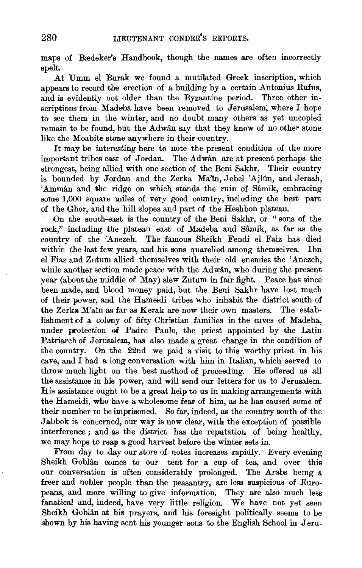maps of Bædeker's Handbook, though the names are often incorrectly spelt.

At Umm el Burak we found a mutilated Greek inscription, which appears to record the erection of a building by a certain Antonius Rufus, and is evidently not older than the Byzantine period. Three other inscriptions from Madeba have been removed to Jerusalem; where I hope to see them in the winter, and no doubt many others as yet uncopied remain to be found, but the Adwân say that they know of no other stone like the Moabite stone anywhere in their country.

It may be interesting here to note the present condition of the more important tribes east of Jordan. The Adwan are at present perhaps the strongest, being allied with one section of the Beni Sakhr. Their country is bounded by Jordan and the Zerka Ma'in, Jebel 'Ajlûn, and Jerash, 'Amman and the ridge on which stands the ruin of Samik, embracing some 1,000 square miles of very good country, including the best part of the Ghor, and the hill slopes and part of the Heshbon plateau.

On. the south-east is the country of the Beni Sakhr, or "sons of the rock," including the plateau east of Madeba and Sâmik, as far as the country of the 'Anezeh. The famous Sheikh Fendi el Faiz has died within the last few years, and his sons quarelled among themselves. Ibn el Fiaz and Zutum allied themselves with their old enemies the 'Anezeh, while another section made peace with the Adwan, who during the present year (about the middle of May) slew Zutum in fair fight. Peace has since been made, and blood money paid, but the Beni Sakhr have lost much of their power, and the Hameidi tribes who inhabit the district south of the Zerka M'atn as far as Kerak are now their own masters. The establishment of a colony of fifty Christian families in the caves of Madeba, under protection of Padre Paulo, the priest appointed by the Latin Patriarch of Jerusalem, has also made a great change in the condition of the country. On the 22nd we paid a visit to this worthy priest in his cave, and I had a long conversation with him in Italian, which served to throw much light on the best method of proceeding. He offered us all the assistance in his power, and will send our letters for us to Jerusalem. His assistance ought to be a great help to us in making arrangements with the Hameidi, who have a wholesome fear of him, as he has caused some of their number to be imprisoned. So far, indeed, as the country south of the Jabbok is concerned, our way is now clear, with the exception of possible interference; and as the district has the reputation of being healthy, we may hope to reap a good harvest before the winter sets in.

From day to day our store of notes increases rapidly. Every evening Sheikh Goblan comes to our tent for a cup of tea, and over this our conversation is often considerably prolonged. The Arabs being a freer and nobler people than the peasantry, are less suspicious of Europeans, and more willing to give information. They are also much less fanatical and, indeed, have very little religion. We have not yet seen Sheikh Goblân at his prayers, and his foresight politically seems to be shown by his having sent his younger sons to the English School in Jeru-